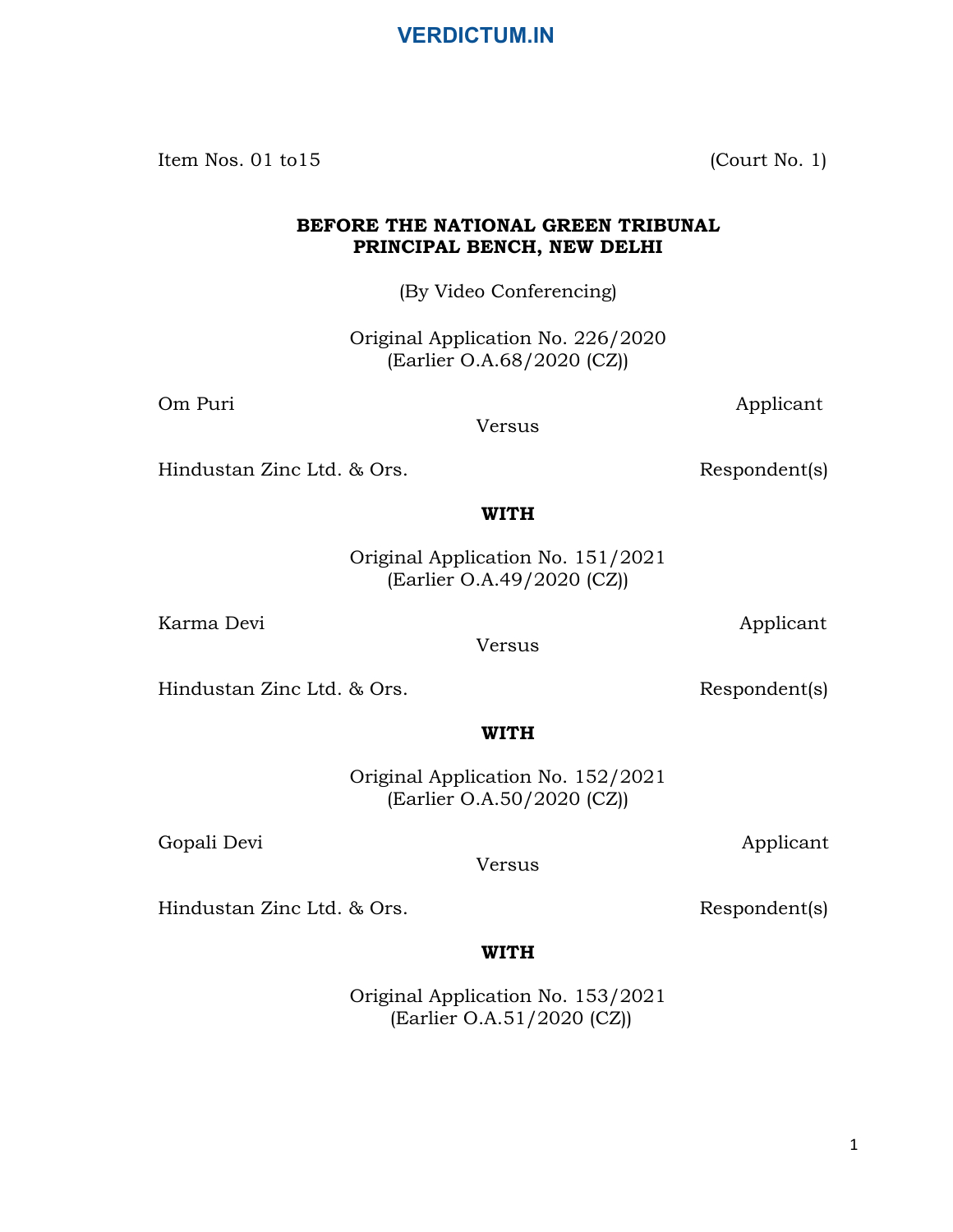Item Nos. 01 to 15 (Court No. 1)

#### BEFORE THE NATIONAL GREEN TRIBUNAL PRINCIPAL BENCH, NEW DELHI

(By Video Conferencing)

Original Application No. 226/2020 (Earlier O.A.68/2020 (CZ))

Om Puri Applicant

Versus

Hindustan Zinc Ltd. & Ors. Respondent(s)

#### WITH

Original Application No. 151/2021 (Earlier O.A.49/2020 (CZ))

Karma Devi **Applicant** 

Versus

Hindustan Zinc Ltd. & Ors. Respondent(s)

WITH

Original Application No. 152/2021 (Earlier O.A.50/2020 (CZ))

Gopali Devi Applicant

Versus

Hindustan Zinc Ltd. & Ors. Respondent(s)

# WITH

Original Application No. 153/2021 (Earlier O.A.51/2020 (CZ))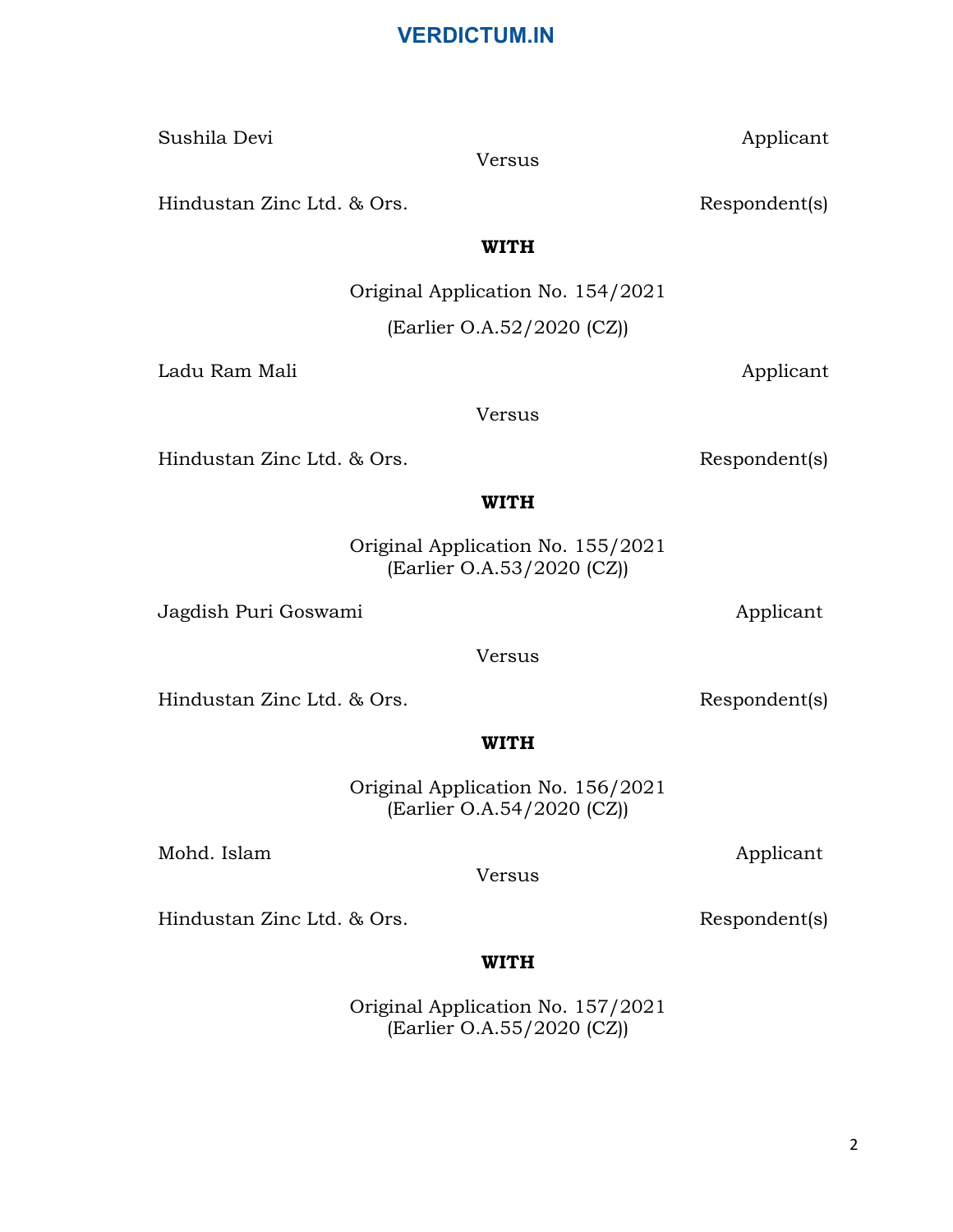Original Application No. 154/2021 (Earlier O.A.52/2020 (CZ))

Ladu Ram Mali **Applicant** 

Versus

WITH

Hindustan Zinc Ltd. & Ors. Respondent(s)

Original Application No. 155/2021 (Earlier O.A.53/2020 (CZ))

WITH

Jagdish Puri Goswami and Applicant

Versus

Hindustan Zinc Ltd. & Ors. Respondent(s)

WITH

Original Application No. 156/2021 (Earlier O.A.54/2020 (CZ))

Versus

Mohd. Islam Applicant

Hindustan Zinc Ltd. & Ors. Respondent(s)

# WITH

Original Application No. 157/2021 (Earlier O.A.55/2020 (CZ))

Hindustan Zinc Ltd. & Ors. Respondent(s)

Sushila Devi Applicant Versus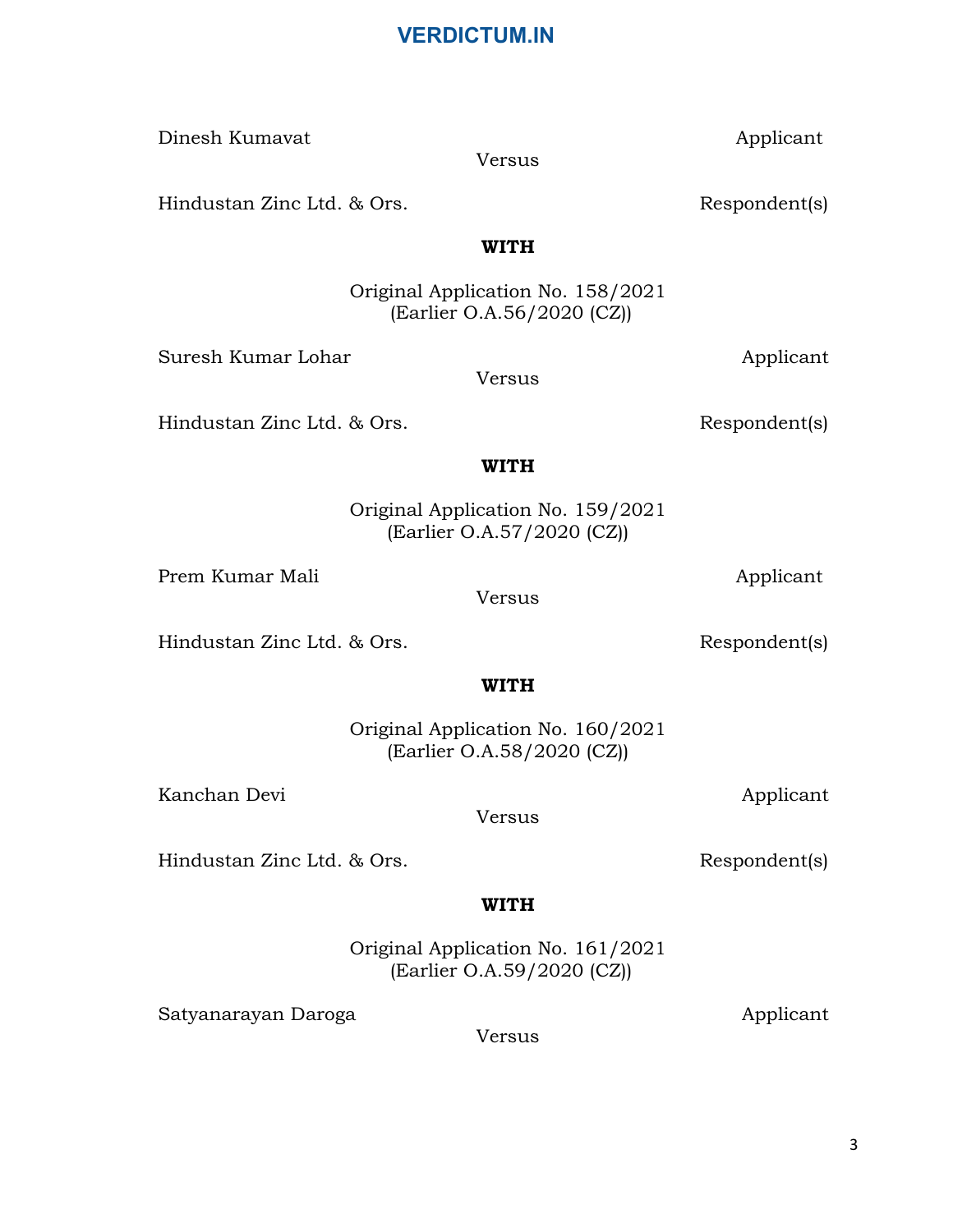Dinesh Kumavat Applicant Versus

Hindustan Zinc Ltd. & Ors. Respondent(s)

WITH

(Earlier O.A.56/2020 (CZ))

#### WITH

Original Application No. 161/2021 (Earlier O.A.59/2020 (CZ))

Satyanarayan Daroga **Applicant** Applicant

Versus

Hindustan Zinc Ltd. & Ors. Respondent(s)

#### **WITH**

Original Application No. 159/2021 (Earlier O.A.57/2020 (CZ))

Versus

Prem Kumar Mali Applicant

Hindustan Zinc Ltd. & Ors. Respondent(s)

WITH

Original Application No. 160/2021 (Earlier O.A.58/2020 (CZ))

Versus

Kanchan Devi Applicant

Hindustan Zinc Ltd. & Ors. Respondent(s)

Suresh Kumar Lohar **Applicant** 

Original Application No. 158/2021

Versus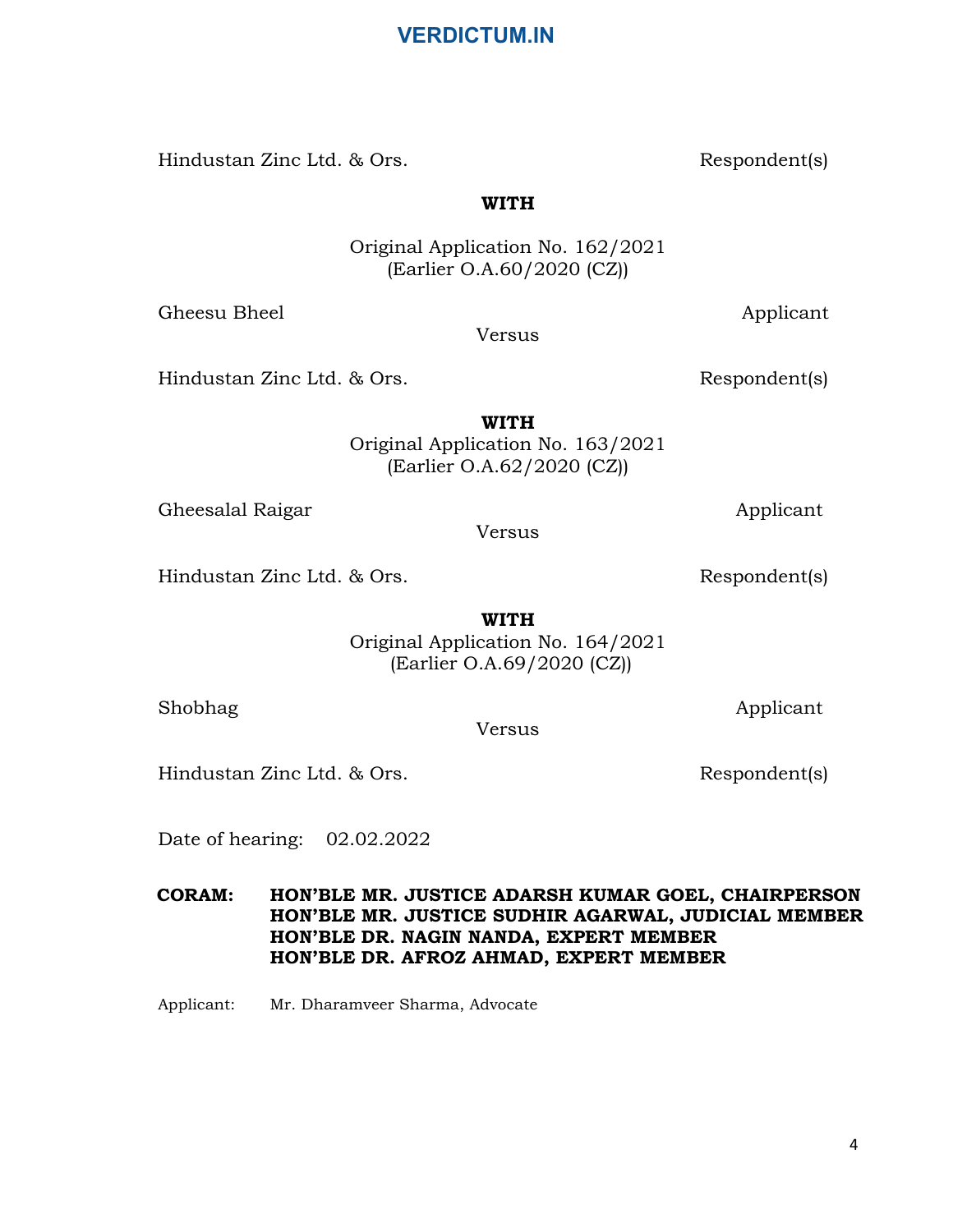Hindustan Zinc Ltd. & Ors. Respondent(s)

WITH

Original Application No. 162/2021 (Earlier O.A.60/2020 (CZ))

Gheesu Bheel Applicant

Hindustan Zinc Ltd. & Ors. Respondent(s)

WITH Original Application No. 163/2021 (Earlier O.A.62/2020 (CZ))

Gheesalal Raigar Applicant

Versus

Hindustan Zinc Ltd. & Ors. Respondent(s)

WITH Original Application No. 164/2021 (Earlier O.A.69/2020 (CZ))

Versus

Hindustan Zinc Ltd. & Ors. Respondent(s)

Date of hearing: 02.02.2022

 CORAM: HON'BLE MR. JUSTICE ADARSH KUMAR GOEL, CHAIRPERSON HON'BLE MR. JUSTICE SUDHIR AGARWAL, JUDICIAL MEMBER HON'BLE DR. NAGIN NANDA, EXPERT MEMBER HON'BLE DR. AFROZ AHMAD, EXPERT MEMBER

Applicant: Mr. Dharamveer Sharma, Advocate

Shobhag Applicant

Versus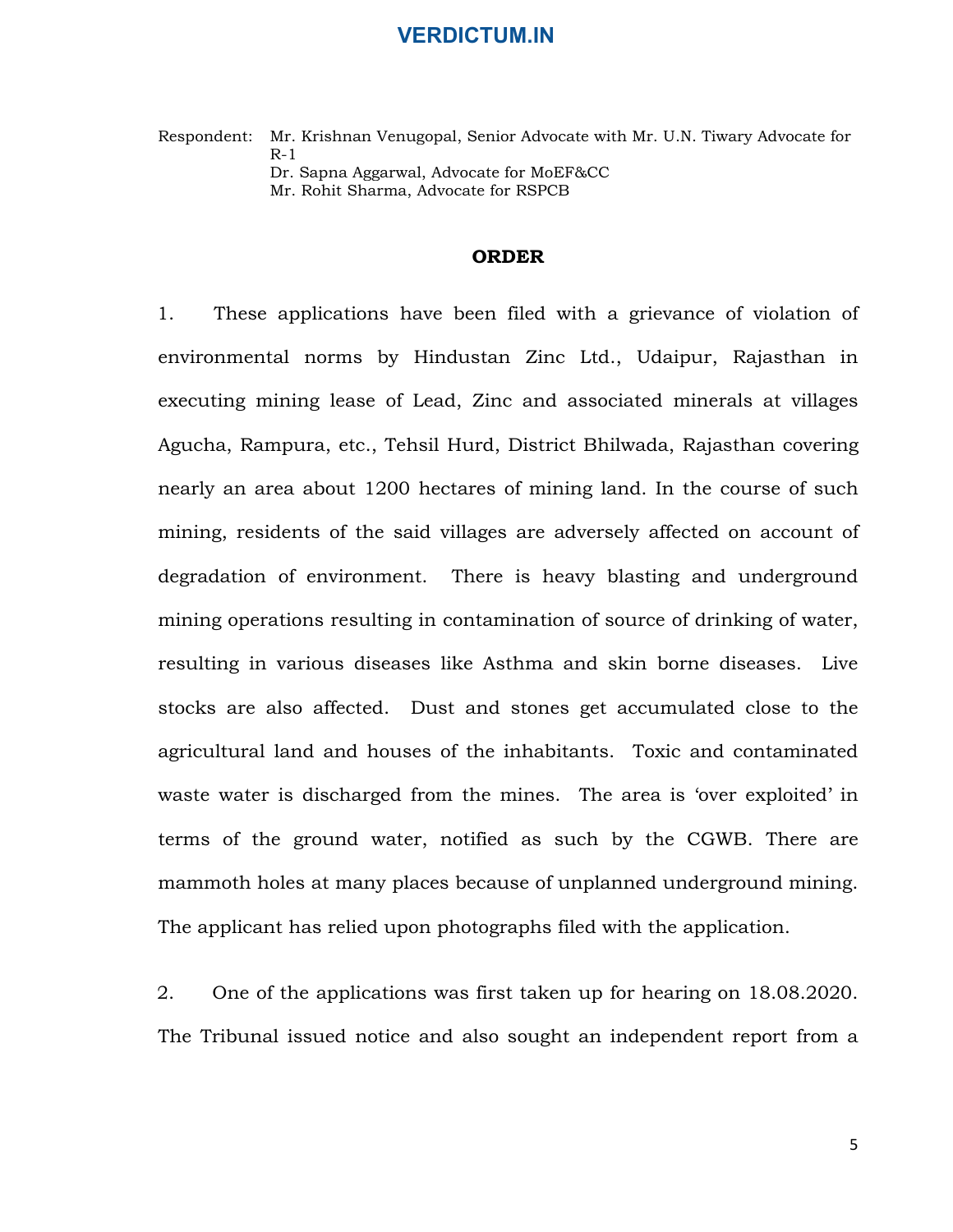Respondent: Mr. Krishnan Venugopal, Senior Advocate with Mr. U.N. Tiwary Advocate for R-1 Dr. Sapna Aggarwal, Advocate for MoEF&CC Mr. Rohit Sharma, Advocate for RSPCB

#### ORDER

**1. These applications have been filed with Mr. U.N. Tiwary Advocate for Respondent:**<br>
1. These applications have been filed with a grievance of violation of<br>
1. These applications have been filed with a grievance of viola environmental norms by Hindustan Zinc Ltd., Udaipur, Rajasthan in executing mining lease of Lead, Zinc and associated minerals at villages Agucha, Rampura, etc., Tehsil Hurd, District Bhilwada, Rajasthan covering nearly an area about 1200 hectares of mining land. In the course of such mining, residents of the said villages are adversely affected on account of degradation of environment. There is heavy blasting and underground mining operations resulting in contamination of source of drinking of water, resulting in various diseases like Asthma and skin borne diseases. Live stocks are also affected. Dust and stones get accumulated close to the agricultural land and houses of the inhabitants. Toxic and contaminated waste water is discharged from the mines. The area is 'over exploited' in terms of the ground water, notified as such by the CGWB. There are mammoth holes at many places because of unplanned underground mining. The applicant has relied upon photographs filed with the application. mining operations resulting in contamination of source of drinking of water,<br>resulting in various diseases like Asthma and skin borne diseases. Live<br>stocks are also affected. Dust and stones get accumulated close to the<br>ag

The Tribunal issued notice and also sought an independent report from a

5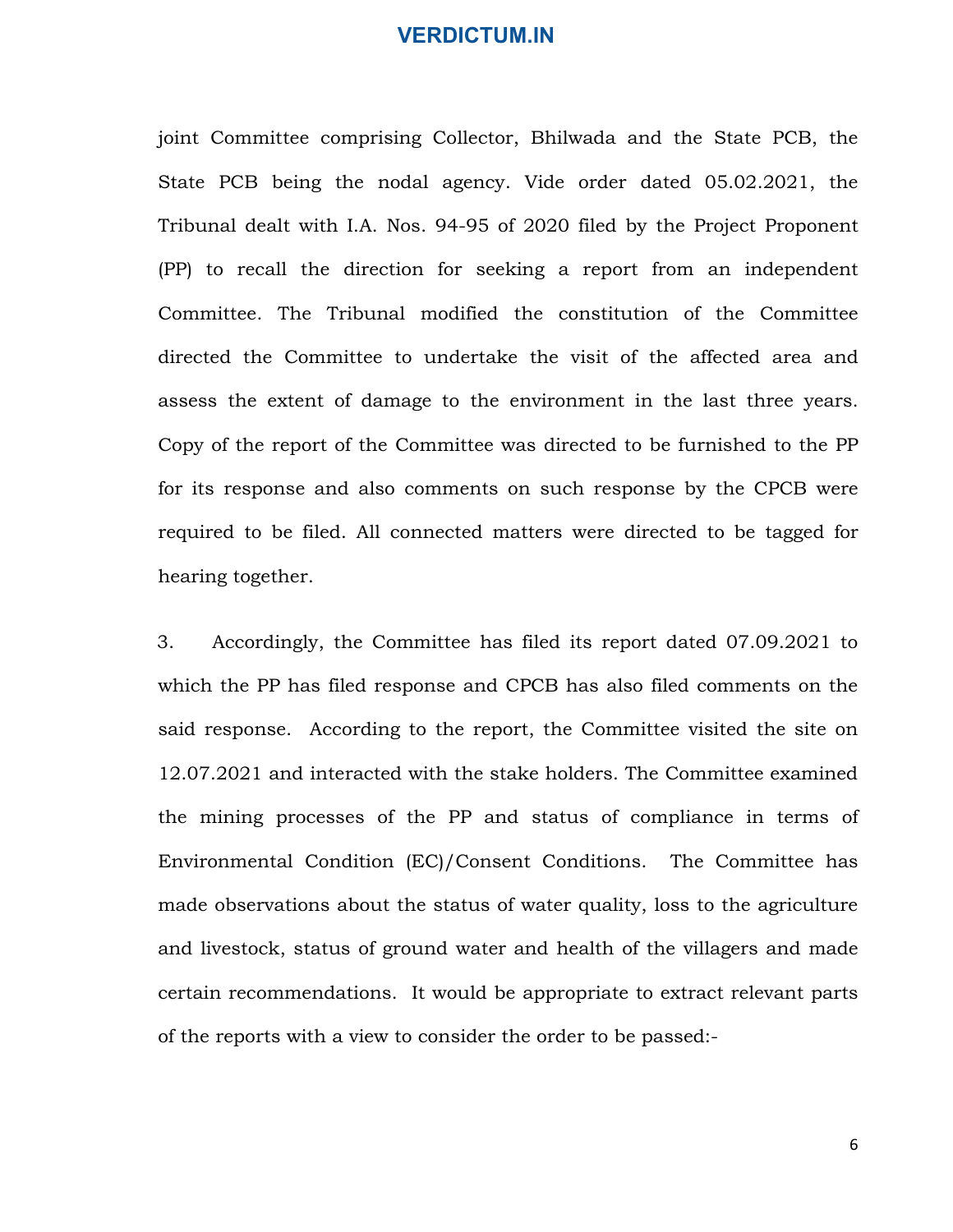joint Committee comprising Collector, Bhilwada and the State PCB, the State PCB being the nodal agency. Vide order dated 05.02.2021, the Tribunal dealt with I.A. Nos. 94-95 of 2020 filed by the Project Proponent (PP) to recall the direction for seeking a report from an independent Committee. The Tribunal modified the constitution of the Committee directed the Committee to undertake the visit of the affected area and assess the extent of damage to the environment in the last three years. Copy of the report of the Committee was directed to be furnished to the PP for its response and also comments on such response by the CPCB were required to be filed. All connected matters were directed to be tagged for hearing together. (PP) to recall the direction for seeking a report from an independent<br>Committee. The Tribunal modified the constitution of the Committee<br>directed the Committee to undertake the visit of the affected area and<br>assess the ext

which the PP has filed response and CPCB has also filed comments on the said response. According to the report, the Committee visited the site on 12.07.2021 and interacted with the stake holders. The Committee examined the mining processes of the PP and status of compliance in terms of Environmental Condition (EC)/Consent Conditions. The Committee has made observations about the status of water quality, loss to the agriculture and livestock, status of ground water and health of the villagers and made certain recommendations. It would be appropriate to extract relevant parts of the reports with a view to consider the order to be passed:-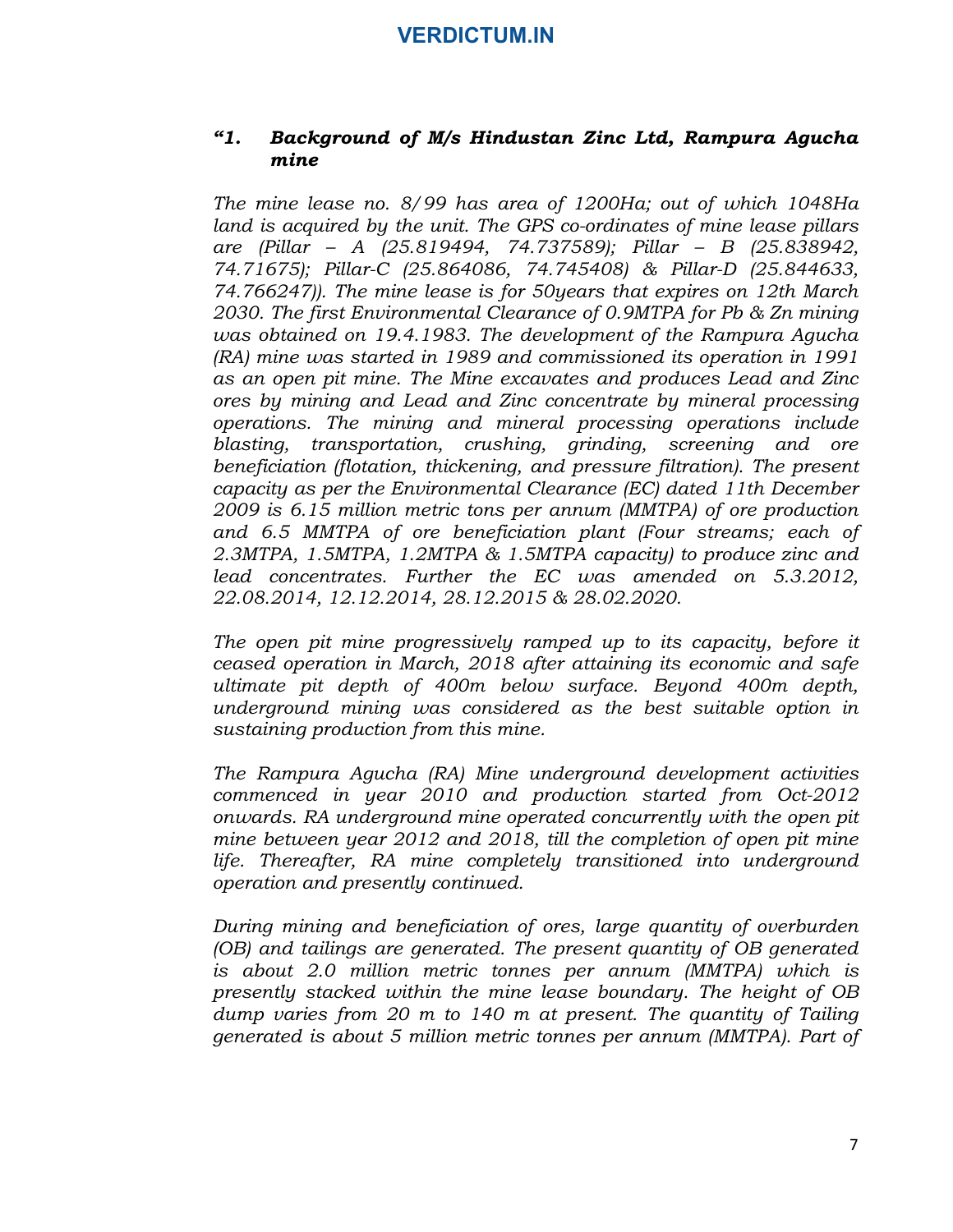#### "1. Background of M/s Hindustan Zinc Ltd, Rampura Agucha mine

The mine lease no. 8/99 has area of 1200Ha; out of which 1048Ha land is acquired by the unit. The GPS co-ordinates of mine lease pillars are (Pillar – A (25.819494, 74.737589); Pillar – B (25.838942, 74.71675); Pillar-C (25.864086, 74.745408) & Pillar-D (25.844633, 74.766247)). The mine lease is for 50years that expires on 12th March 2030. The first Environmental Clearance of 0.9MTPA for Pb & Zn mining was obtained on 19.4.1983. The development of the Rampura Agucha (RA) mine was started in 1989 and commissioned its operation in 1991 as an open pit mine. The Mine excavates and produces Lead and Zinc ores by mining and Lead and Zinc concentrate by mineral processing operations. The mining and mineral processing operations include blasting, transportation, crushing, grinding, screening and ore beneficiation (flotation, thickening, and pressure filtration). The present capacity as per the Environmental Clearance (EC) dated 11th December 2009 is 6.15 million metric tons per annum (MMTPA) of ore production and 6.5 MMTPA of ore beneficiation plant (Four streams; each of 2.3MTPA, 1.5MTPA, 1.2MTPA & 1.5MTPA capacity) to produce zinc and lead concentrates. Further the EC was amended on 5.3.2012, 22.08.2014, 12.12.2014, 28.12.2015 & 28.02.2020.

The open pit mine progressively ramped up to its capacity, before it ceased operation in March, 2018 after attaining its economic and safe ultimate pit depth of 400m below surface. Beyond 400m depth, underground mining was considered as the best suitable option in sustaining production from this mine.

The Rampura Agucha (RA) Mine underground development activities commenced in year 2010 and production started from Oct-2012 onwards. RA underground mine operated concurrently with the open pit mine between year 2012 and 2018, till the completion of open pit mine life. Thereafter, RA mine completely transitioned into underground operation and presently continued.

During mining and beneficiation of ores, large quantity of overburden (OB) and tailings are generated. The present quantity of OB generated is about 2.0 million metric tonnes per annum (MMTPA) which is presently stacked within the mine lease boundary. The height of OB dump varies from 20 m to 140 m at present. The quantity of Tailing generated is about 5 million metric tonnes per annum (MMTPA). Part of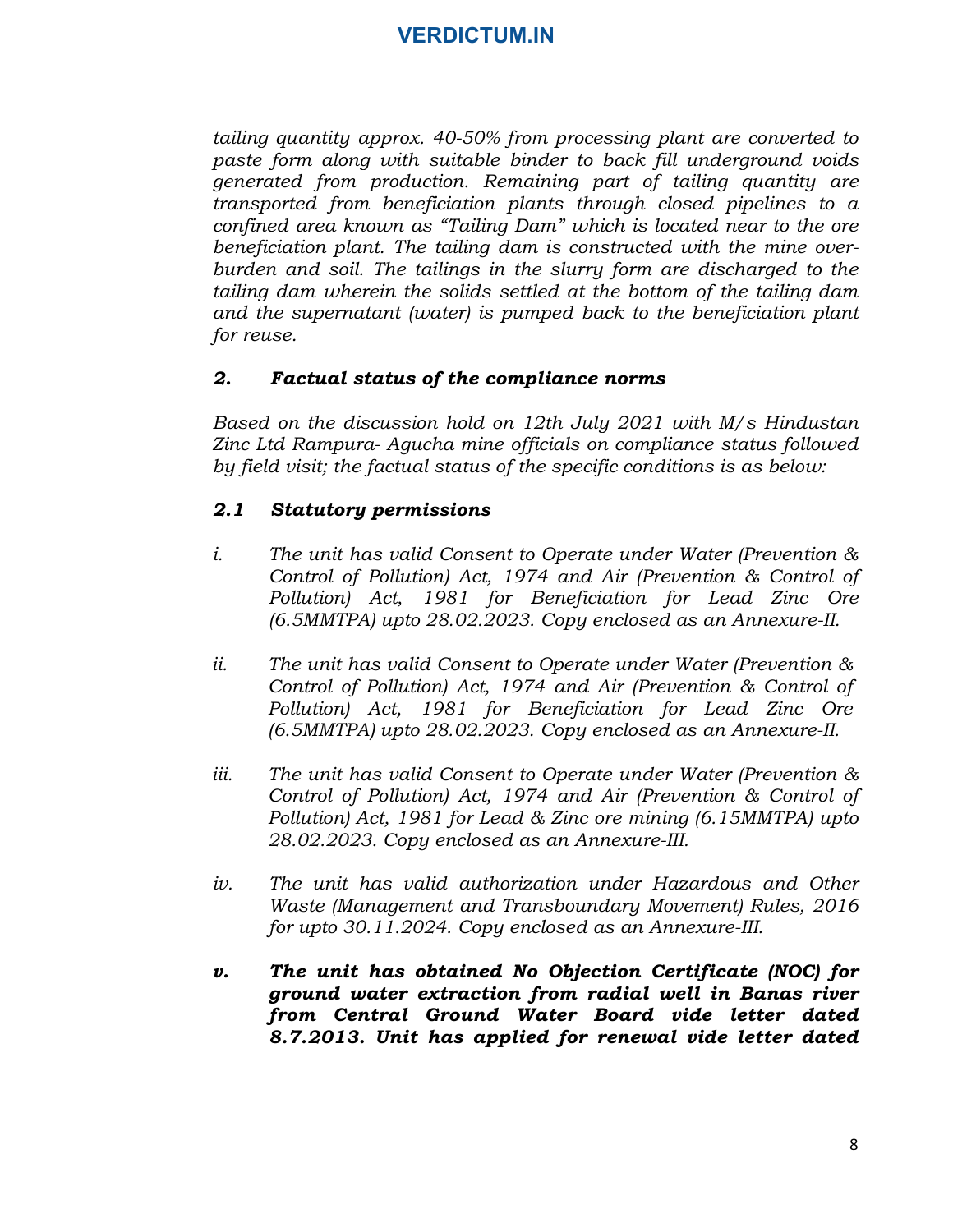tailing quantity approx. 40-50% from processing plant are converted to paste form along with suitable binder to back fill underground voids generated from production. Remaining part of tailing quantity are transported from beneficiation plants through closed pipelines to a confined area known as "Tailing Dam" which is located near to the ore beneficiation plant. The tailing dam is constructed with the mine overburden and soil. The tailings in the slurry form are discharged to the tailing dam wherein the solids settled at the bottom of the tailing dam and the supernatant (water) is pumped back to the beneficiation plant for reuse. pase form along with suitable onder to other that the different and water point are transported from beneficiation plants through closed pipelines to a confined area known as "failing Dam" which is located near to the one-

#### 2. Factual status of the compliance norms

Based on the discussion hold on 12th July 2021 with M/s Hindustan Zinc Ltd Rampura- Agucha mine officials on compliance status followed by field visit; the factual status of the specific conditions is as below:

### 2.1 Statutory permissions

- Control of Pollution) Act, 1974 and Air (Prevention & Control of Pollution) Act, 1981 for Beneficiation for Lead Zinc Ore (6.5MMTPA) upto 28.02.2023. Copy enclosed as an Annexure-II. burnent and soli. The iautings in the sumply ormat ancelaring dam wherein the solids settled at the bottom of the tailing dam<br>and the supernatant (water) is pumped back to the beneficiation plant<br>for reuse.<br>2. **Factual sta**
- Control of Pollution) Act, 1974 and Air (Prevention & Control of Pollution) Act, 1981 for Beneficiation for Lead Zinc Ore (6.5MMTPA) upto 28.02.2023. Copy enclosed as an Annexure-II.
- 2. **Factual status of the compliance norms**<br>
Based on the discussion hold on 12th July 2021 with M/s Hindustan<br>
Zinc Ltd Rampura- Agucha mine officials on compliance status followed<br>
by field visit; the factual status of Control of Pollution) Act, 1974 and Air (Prevention & Control of Pollution) Act, 1981 for Lead & Zinc ore mining (6.15MMTPA) upto 28.02.2023. Copy enclosed as an Annexure-III. **2.1 Statutory permissions**<br>
i. The unit has valid Consent to Operate under Water (Prevention & Control of Pollution) Act, 1974 and Air (Prevention & Control of Pollution) Act, 1981 for Beneficiation for Lead Zinc Ore (6.
- Waste (Management and Transboundary Movement) Rules, 2016 for upto 30.11.2024. Copy enclosed as an Annexure-III.
- Control of Pollution) Act, 1974 and Air (Prevention & Control of Pollution) Act, 1981 for Beneficiation for Lead Zinc Ore (6.5MMTPA) upto 28.02.2023. Copy enclosed as an Annexure-II.<br>ii. The unit has valid Consent to Oper ground water extraction from radial well in Banas river from Central Ground Water Board vide letter dated 8.7.2013. Unit has applied for renewal vide letter dated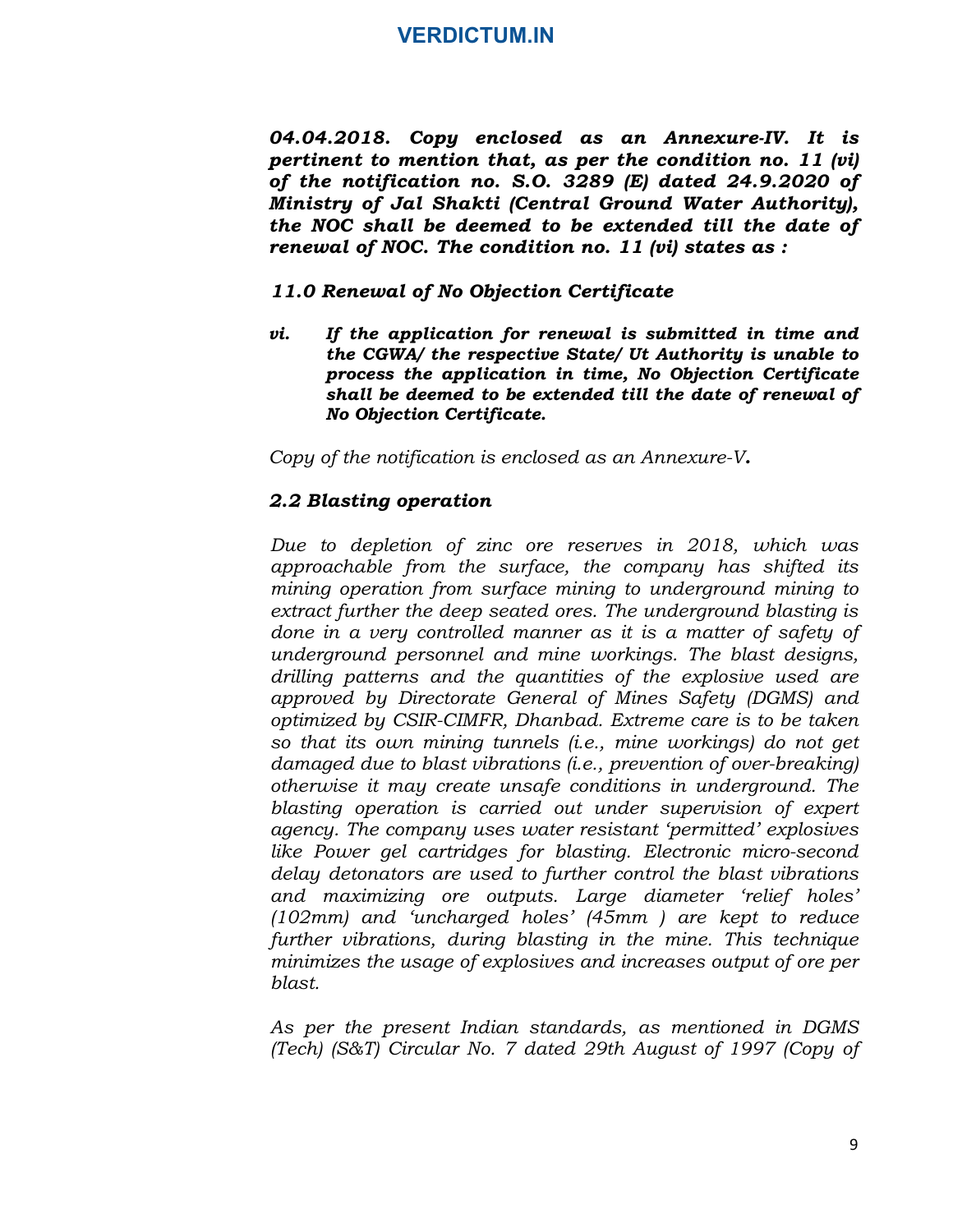04.04.2018. Copy enclosed as an Annexure-IV. It is pertinent to mention that, as per the condition no. 11 (vi) of the notification no. S.O. 3289 (E) dated 24.9.2020 of Ministry of Jal Shakti (Central Ground Water Authority), the NOC shall be deemed to be extended till the date of renewal of NOC. The condition no. 11 (vi) states as :

#### 11.0 Renewal of No Objection Certificate

vi. If the application for renewal is submitted in time and the CGWA/ the respective State/ Ut Authority is unable to process the application in time, No Objection Certificate shall be deemed to be extended till the date of renewal of No Objection Certificate.

Copy of the notification is enclosed as an Annexure-V.<br>**2.2 Blasting operation** 

Due to depletion of zinc ore reserves in 2018, which was approachable from the surface, the company has shifted its mining operation from surface mining to underground mining to extract further the deep seated ores. The underground blasting is done in a very controlled manner as it is a matter of safety of underground personnel and mine workings. The blast designs, drilling patterns and the quantities of the explosive used are approved by Directorate General of Mines Safety (DGMS) and optimized by CSIR-CIMFR, Dhanbad. Extreme care is to be taken so that its own mining tunnels (i.e., mine workings) do not get damaged due to blast vibrations (i.e., prevention of over-breaking) otherwise it may create unsafe conditions in underground. The blasting operation is carried out under supervision of expert agency. The company uses water resistant 'permitted' explosives like Power gel cartridges for blasting. Electronic micro-second delay detonators are used to further control the blast vibrations and maximizing ore outputs. Large diameter 'relief holes' (102mm) and 'uncharged holes' (45mm ) are kept to reduce further vibrations, during blasting in the mine. This technique minimizes the usage of explosives and increases output of ore per blast.

As per the present Indian standards, as mentioned in DGMS (Tech) (S&T) Circular No. 7 dated 29th August of 1997 (Copy of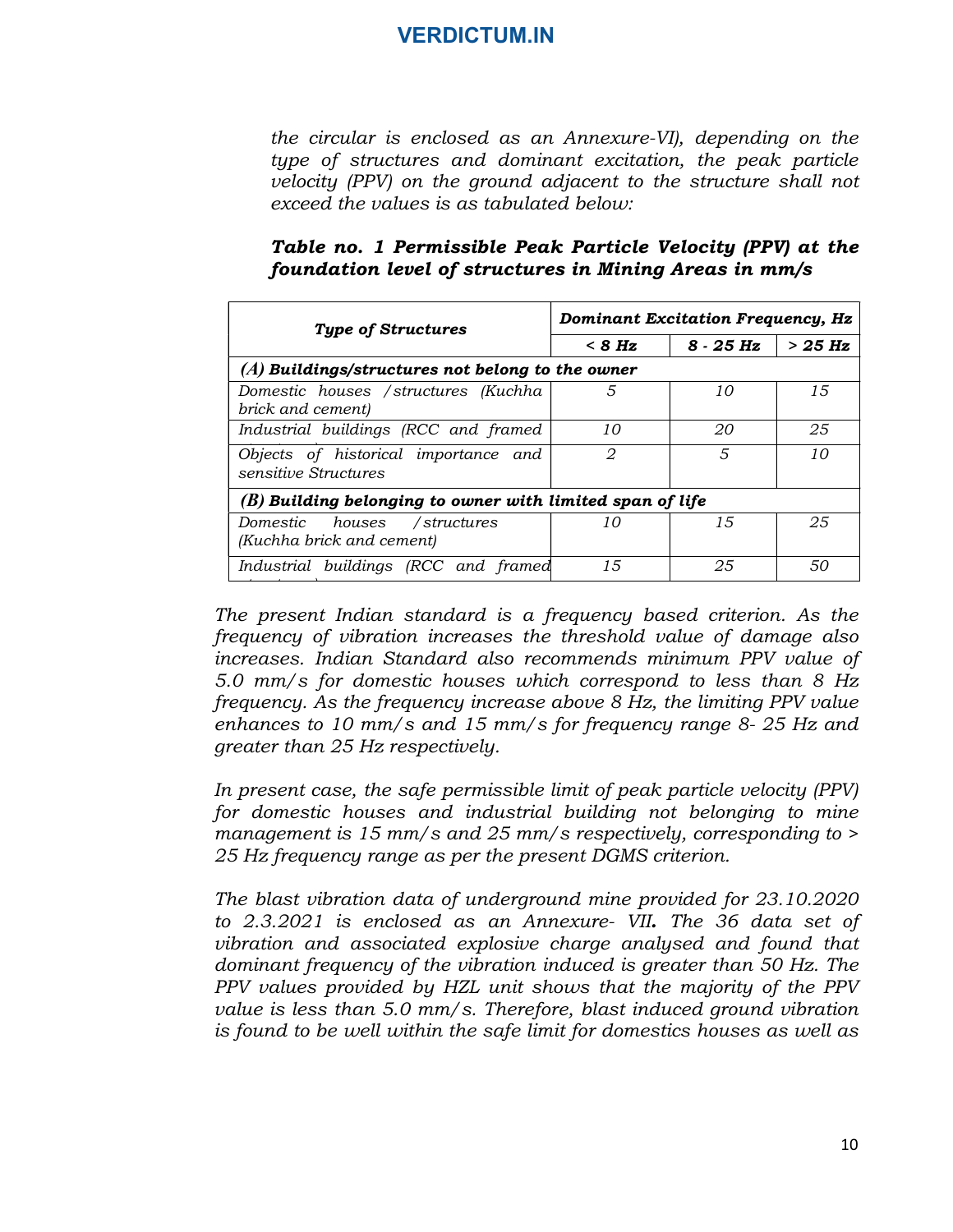the circular is enclosed as an Annexure-VI), depending on the type of structures and dominant excitation, the peak particle velocity (PPV) on the ground adjacent to the structure shall not exceed the values is as tabulated below:

|                                                        | Table no. 1 Permissible Peak Particle Velocity (PPV) at the |
|--------------------------------------------------------|-------------------------------------------------------------|
| foundation level of structures in Mining Areas in mm/s |                                                             |

|                                                                | <b>Dominant Excitation Frequency, Hz</b> |             |          |
|----------------------------------------------------------------|------------------------------------------|-------------|----------|
| <b>Type of Structures</b>                                      | $< 8$ Hz                                 | $8 - 25$ Hz | $>25$ Hz |
| $(A)$ Buildings/structures not belong to the owner             |                                          |             |          |
| Domestic houses / structures (Kuchha<br>brick and cement)      | 5                                        | 10          | 15       |
| Industrial buildings (RCC and framed                           | 10                                       | 20          | 25       |
| Objects of historical importance and<br>sensitive Structures   | 2                                        | 5           | 10       |
| $(B)$ Building belonging to owner with limited span of life    |                                          |             |          |
| Domestic<br>houses<br>/structures<br>(Kuchha brick and cement) | 10                                       | 15          | 25       |
| Industrial buildings (RCC and framed                           | 15                                       | 25          | 50       |

The present Indian standard is a frequency based criterion. As the frequency of vibration increases the threshold value of damage also increases. Indian Standard also recommends minimum PPV value of 5.0 mm/s for domestic houses which correspond to less than 8 Hz frequency. As the frequency increase above 8 Hz, the limiting PPV value enhances to 10 mm/s and 15 mm/s for frequency range 8- 25 Hz and greater than 25 Hz respectively. Fractional initial continuous control in the prediction of the prediction of the prediction of the prediction. As the frequency of vibration increases the threshold value of damage also increases. Indian Standard also rec

structures) and the structures of the structures of the structures of the structures of the structures of the structures of the structure of the structure of the structure of the structure of the structure of the structure

In present case, the safe permissible limit of peak particle velocity (PPV) for domestic houses and industrial building not belonging to mine management is 15 mm/s and 25 mm/s respectively, corresponding to > 25 Hz frequency range as per the present DGMS criterion.

The blast vibration data of underground mine provided for 23.10.2020 vibration and associated explosive charge analysed and found that dominant frequency of the vibration induced is greater than 50 Hz. The PPV values provided by HZL unit shows that the majority of the PPV value is less than 5.0 mm/s. Therefore, blast induced ground vibration is found to be well within the safe limit for domestics houses as well as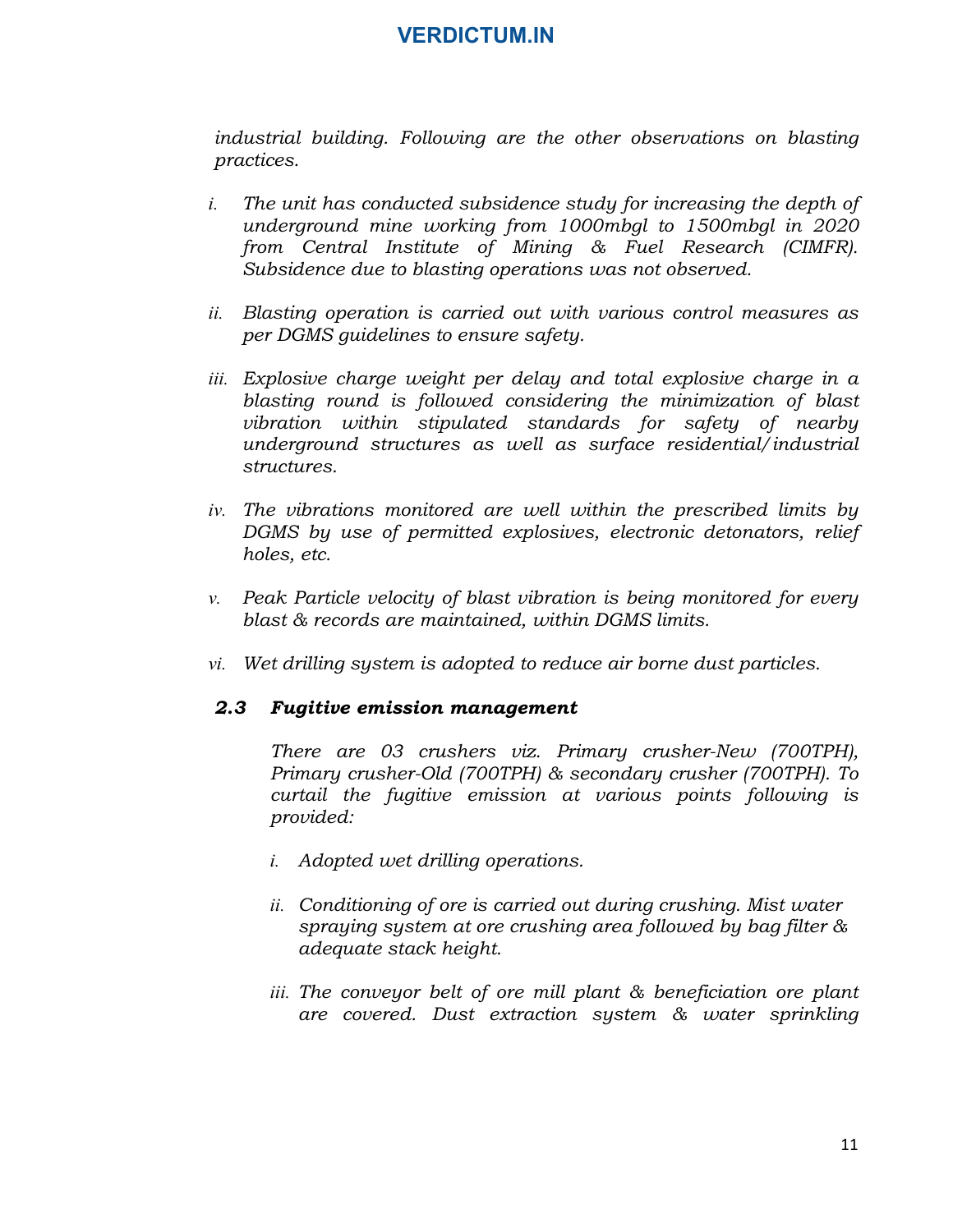industrial building. Following are the other observations on blasting practices.

- i. The unit has conducted subsidence study for increasing the depth of underground mine working from 1000mbgl to 1500mbgl in 2020 from Central Institute of Mining & Fuel Research (CIMFR). Subsidence due to blasting operations was not observed.
- ii. Blasting operation is carried out with various control measures as per DGMS guidelines to ensure safety.
- iii. Explosive charge weight per delay and total explosive charge in a blasting round is followed considering the minimization of blast vibration within stipulated standards for safety of nearby underground structures as well as surface residential/industrial structures.
- iv. The vibrations monitored are well within the prescribed limits by DGMS by use of permitted explosives, electronic detonators, relief holes, etc.
- v. Peak Particle velocity of blast vibration is being monitored for every blast & records are maintained, within DGMS limits.
- vi. Wet drilling system is adopted to reduce air borne dust particles.

#### 2.3 Fugitive emission management

There are 03 crushers viz. Primary crusher-New (700TPH), Primary crusher-Old (700TPH) & secondary crusher (700TPH). To curtail the fugitive emission at various points following is provided:

- i. Adopted wet drilling operations.
- ii. Conditioning of ore is carried out during crushing. Mist water spraying system at ore crushing area followed by bag filter & adequate stack height.
- iii. The conveyor belt of ore mill plant & beneficiation ore plant are covered. Dust extraction system & water sprinkling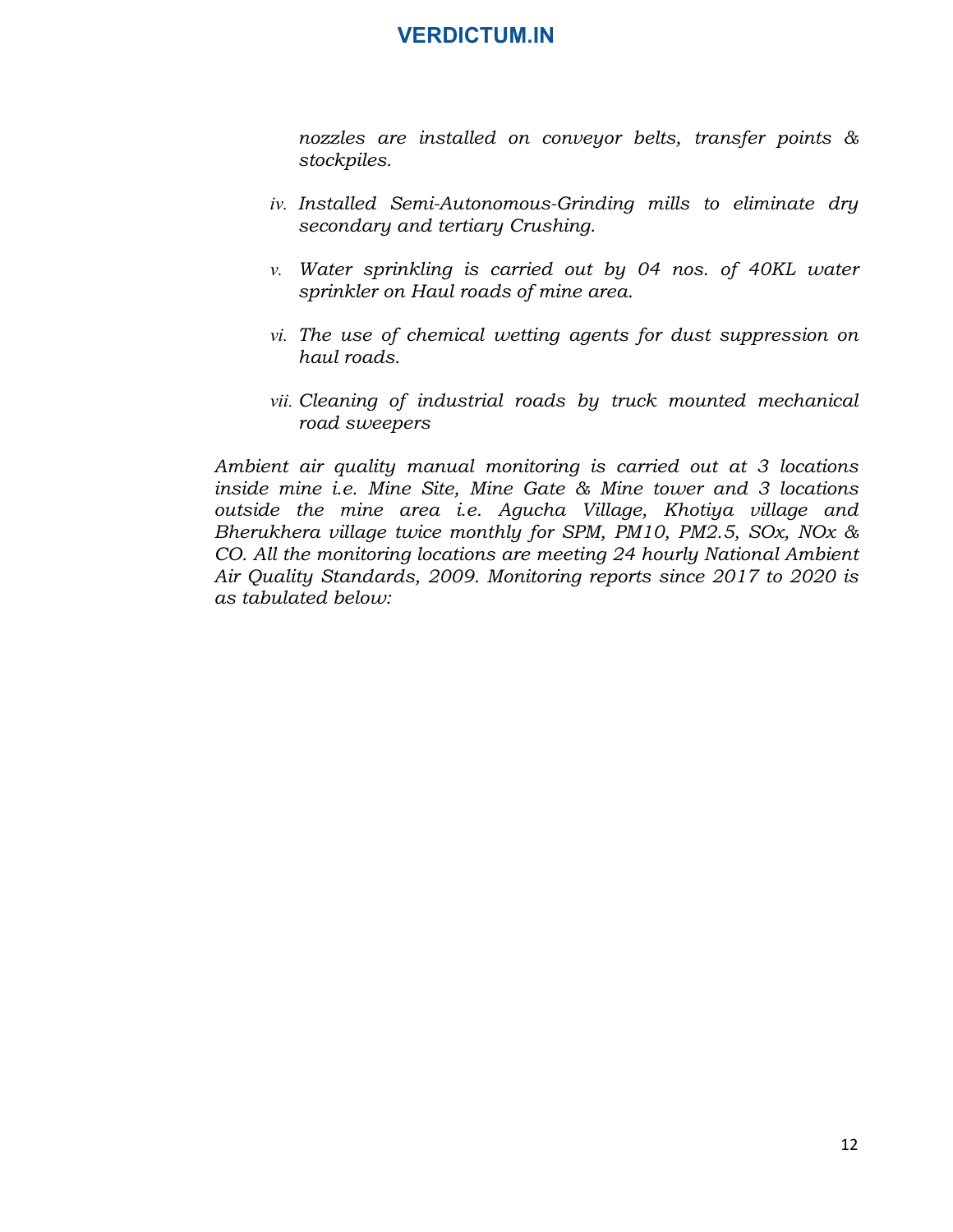nozzles are installed on conveyor belts, transfer points & stockpiles.

- iv. Installed Semi-Autonomous-Grinding mills to eliminate dry secondary and tertiary Crushing.
- v. Water sprinkling is carried out by 04 nos. of 40KL water sprinkler on Haul roads of mine area.
- vi. The use of chemical wetting agents for dust suppression on haul roads.
- vii. Cleaning of industrial roads by truck mounted mechanical road sweepers

Ambient air quality manual monitoring is carried out at 3 locations inside mine i.e. Mine Site, Mine Gate & Mine tower and 3 locations outside the mine area i.e. Agucha Village, Khotiya village and Bherukhera village twice monthly for SPM, PM10, PM2.5, SOx, NOx & CO. All the monitoring locations are meeting 24 hourly National Ambient Air Quality Standards, 2009. Monitoring reports since 2017 to 2020 is as tabulated below: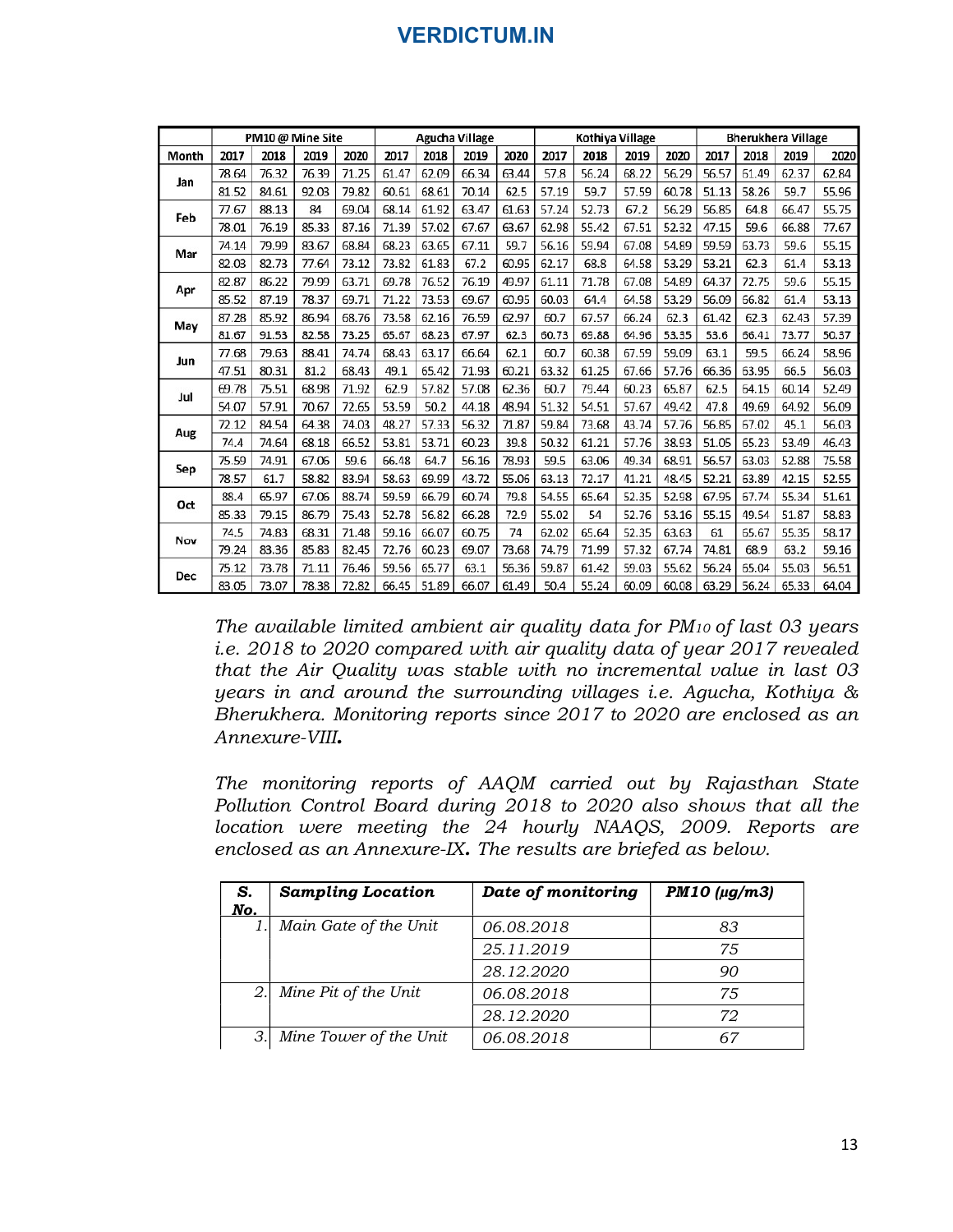|       |       | PM10 @ Mine Site |       |       |       |       | Agucha Village |       |       | Kothiya Village |       |       |       |       | <b>Bherukhera Village</b> |       |
|-------|-------|------------------|-------|-------|-------|-------|----------------|-------|-------|-----------------|-------|-------|-------|-------|---------------------------|-------|
| Month | 2017  | 2018             | 2019  | 2020  | 2017  | 2018  | 2019           | 2020  | 2017  | 2018            | 2019  | 2020  | 2017  | 2018  | 2019                      | 2020  |
|       | 78.64 | 76.32            | 76.39 | 71.25 | 61.47 | 62.09 | 66.34          | 63.44 | 57.8  | 56.24           | 68.22 | 56.29 | 56.57 | 61.49 | 62.37                     | 62.84 |
| Jan   | 81.52 | 84.61            | 92.03 | 79.82 | 60.61 | 68.61 | 70.14          | 62.5  | 57.19 | 59.7            | 57.59 | 60.78 | 51.13 | 58.26 | 59.7                      | 55.96 |
|       | 77.67 | 88.13            | 84    | 69.04 | 68.14 | 61.92 | 63.47          | 61.63 | 57.24 | 52.73           | 67.2  | 56.29 | 56.85 | 64.8  | 66.47                     | 55.75 |
| Feb   | 78.01 | 76.19            | 85.33 | 87.16 | 71.39 | 57.02 | 67.67          | 63.67 | 62.98 | 55.42           | 67.51 | 52.32 | 47.15 | 59.6  | 66.88                     | 77.67 |
|       | 74.14 | 79.99            | 83.67 | 68.84 | 68.23 | 63.65 | 67.11          | 59.7  | 56.16 | 59.94           | 67.08 | 54.89 | 59.59 | 63.73 | 59.6                      | 55.15 |
| Mar   | 82.03 | 82.73            | 77.64 | 73.12 | 73.82 | 61.83 | 67.2           | 60.95 | 62.17 | 68.8            | 64.58 | 53.29 | 53.21 | 62.3  | 61.4                      | 53.13 |
|       | 82.87 | 86.22            | 79.99 | 63.71 | 69.78 | 76.52 | 76.19          | 49.97 | 61.11 | 71.78           | 67.08 | 54.89 | 64.37 | 72.75 | 59.6                      | 55.15 |
| Apr   | 85.52 | 87.19            | 78.37 | 69.71 | 71.22 | 73.53 | 69.67          | 60.95 | 60.03 | 64.4            | 64.58 | 53.29 | 56.09 | 66.82 | 61.4                      | 53.13 |
|       | 87.28 | 85.92            | 86.94 | 68.76 | 73.58 | 62.16 | 76.59          | 62.97 | 60.7  | 67.57           | 66.24 | 62.3  | 61.42 | 62.3  | 62.43                     | 57.39 |
| May   | 81.67 | 91.53            | 82.58 | 73.25 | 65.67 | 68.23 | 67.97          | 62.3  | 60.73 | 69.88           | 64.96 | 53.35 | 53.6  | 66.41 | 73.77                     | 50.37 |
| Jun   | 77.68 | 79.63            | 88.41 | 74.74 | 68.43 | 63.17 | 66.64          | 62.1  | 60.7  | 60.38           | 67.59 | 59.09 | 63.1  | 59.5  | 66.24                     | 58.96 |
|       | 47.51 | 80.31            | 81.2  | 68.43 | 49.1  | 65.42 | 71.93          | 60.21 | 63.32 | 61.25           | 67.66 | 57.76 | 66.36 | 63.95 | 66.5                      | 56.03 |
| Jul   | 69.78 | 75.51            | 68.98 | 71.92 | 62.9  | 57.82 | 57.08          | 62.36 | 60.7  | 79.44           | 60.23 | 65.87 | 62.5  | 64.15 | 60.14                     | 52.49 |
|       | 54.07 | 57.91            | 70.67 | 72.65 | 53.59 | 50.2  | 44.18          | 48.94 | 51.32 | 54.51           | 57.67 | 49.42 | 47.8  | 49.69 | 64.92                     | 56.09 |
|       | 72.12 | 84.54            | 64.38 | 74.03 | 48.27 | 57.33 | 56.32          | 71.87 | 59.84 | 73.68           | 43.74 | 57.76 | 56.85 | 67.02 | 45.1                      | 56.03 |
| Aug   | 74.4  | 74.64            | 68.18 | 66.52 | 53.81 | 53.71 | 60.23          | 39.8  | 50.32 | 61.21           | 57.76 | 38.93 | 51.05 | 65.23 | 53.49                     | 46.43 |
|       | 75.59 | 74.91            | 67.06 | 59.6  | 66.48 | 64.7  | 56.16          | 78.93 | 59.5  | 63.06           | 49.34 | 68.91 | 56.57 | 63.03 | 52.88                     | 75.58 |
| Sep   | 78.57 | 61.7             | 58.82 | 83.94 | 58.63 | 69.99 | 43.72          | 55.06 | 63.13 | 72.17           | 41.21 | 48.45 | 52.21 | 63.89 | 42.15                     | 52.55 |
|       | 88.4  | 65.97            | 67.06 | 88.74 | 59.59 | 66.79 | 60.74          | 79.8  | 54.55 | 65.64           | 52.35 | 52.98 | 67.95 | 67.74 | 55.34                     | 51.61 |
| Oct   | 85.33 | 79.15            | 86.79 | 75.43 | 52.78 | 56.82 | 66.28          | 72.9  | 55.02 | 54              | 52.76 | 53.16 | 55.15 | 49.54 | 51.87                     | 58.83 |
|       | 74.5  | 74.83            | 68.31 | 71.48 | 59.16 | 66.07 | 60.75          | 74    | 62.02 | 65.64           | 52.35 | 63.63 | 61    | 65.67 | 55.35                     | 58.17 |
| Nov   | 79.24 | 83.36            | 85.83 | 82.45 | 72.76 | 60.23 | 69.07          | 73.68 | 74.79 | 71.99           | 57.32 | 67.74 | 74.81 | 68.9  | 63.2                      | 59.16 |
|       | 75.12 | 73.78            | 71.11 | 76.46 | 59.56 | 65.77 | 63.1           | 56.36 | 59.87 | 61.42           | 59.03 | 55.62 | 56.24 | 65.04 | 55.03                     | 56.51 |
| Dec   | 83.05 | 73.07            | 78.38 | 72.82 | 66.45 | 51.89 | 66.07          | 61.49 | 50.4  | 55.24           | 60.09 | 60.08 | 63.29 | 56.24 | 65.33                     | 64.04 |

| 79.24            |       | 68.31                    | 71.48 | 59.16   66.07 |             | 60.75 | 74                       | 62.02 | 65.64                                                                                                                                                                                                                                                                                                                                                                     | 52.35 | 63.63 | 61                | 65.67          | 55.35 | 58.17 |
|------------------|-------|--------------------------|-------|---------------|-------------|-------|--------------------------|-------|---------------------------------------------------------------------------------------------------------------------------------------------------------------------------------------------------------------------------------------------------------------------------------------------------------------------------------------------------------------------------|-------|-------|-------------------|----------------|-------|-------|
|                  | 83.36 | 85.83                    | 82.45 | 72.76         | 60.23       | 69.07 | 73.68                    | 74.79 | 71.99                                                                                                                                                                                                                                                                                                                                                                     | 57.32 | 67.74 | 74.81             | 68.9           | 63.2  | 59.16 |
| 75.12            | 73.78 | 71.11                    | 76.46 | 59.56 65.77   |             | 63.1  | 56.36                    | 59.87 | 61.42                                                                                                                                                                                                                                                                                                                                                                     | 59.03 | 55.62 | 56.24             | 65.04          | 55.03 | 56.51 |
| 83.05            | 73.07 | 78.38                    | 72.82 |               | 66.45 51.89 | 66.07 | 61.49                    | 50.4  | 55.24                                                                                                                                                                                                                                                                                                                                                                     | 60.09 |       | 60.08 63.29 56.24 |                | 65.33 | 64.04 |
|                  |       | Annexure-VIII <b>.</b>   |       |               |             |       |                          |       | The available limited ambient air quality data for PM10 of last 03 years<br>i.e. 2018 to 2020 compared with air quality data of year 2017 revealed<br>that the Air Quality was stable with no incremental value in last 03<br>years in and around the surrounding villages i.e. Agucha, Kothiya &<br>Bherukhera. Monitoring reports since 2017 to 2020 are enclosed as an |       |       |                   |                |       |       |
|                  |       |                          |       |               |             |       |                          |       | The monitoring reports of AAQM carried out by Rajasthan State<br>Pollution Control Board during 2018 to 2020 also shows that all the<br>location were meeting the 24 hourly NAAQS, 2009. Reports are<br>enclosed as an Annexure-IX. The results are briefed as below.                                                                                                     |       |       |                   |                |       |       |
|                  |       | <b>Sampling Location</b> |       |               |             |       |                          |       | Date of monitoring                                                                                                                                                                                                                                                                                                                                                        |       |       |                   | $PM10$ (µg/m3) |       |       |
|                  |       |                          |       |               |             |       |                          |       |                                                                                                                                                                                                                                                                                                                                                                           |       |       |                   |                |       |       |
| $\mathfrak{1}$ . |       | Main Gate of the Unit    |       |               |             |       | 06.08.2018               |       |                                                                                                                                                                                                                                                                                                                                                                           |       |       | 83                |                |       |       |
|                  |       |                          |       |               |             |       | 25.11.2019               |       |                                                                                                                                                                                                                                                                                                                                                                           |       |       | 75                |                |       |       |
| S.<br>2.         |       |                          |       |               |             |       | 28.12.2020               |       |                                                                                                                                                                                                                                                                                                                                                                           |       |       | 90                |                |       |       |
| No.              |       | Mine Pit of the Unit     |       |               |             |       | 06.08.2018<br>28.12.2020 |       |                                                                                                                                                                                                                                                                                                                                                                           |       |       | 75<br>72          |                |       |       |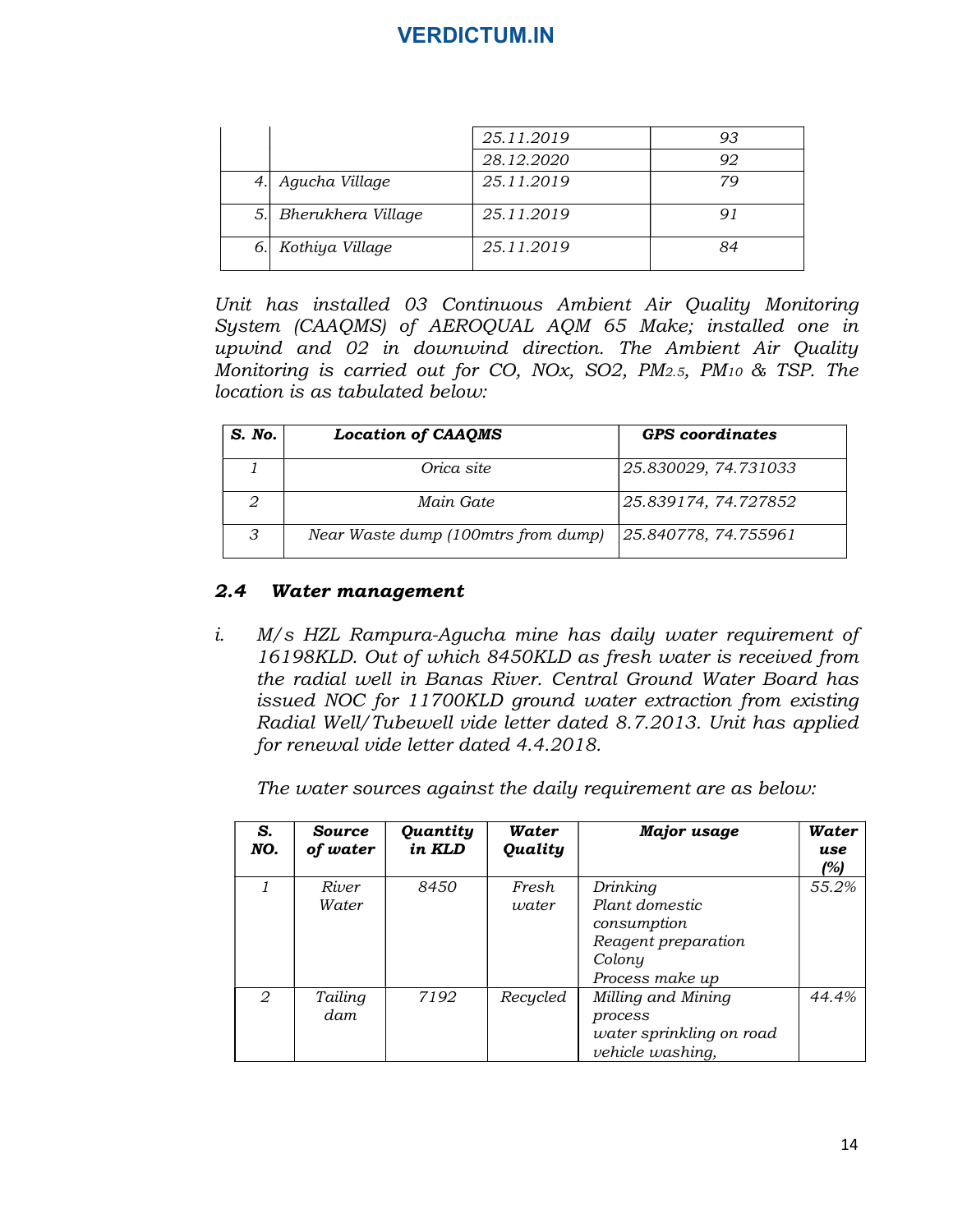| 25.11.2019<br>93<br>28.12.2020<br>92<br>Agucha Village<br>25.11.2019<br>79<br>25.11.2019<br>91<br>25.11.2019<br>84<br>Unit has installed 03 Continuous Ambient Air Quality Monitoring<br>System (CAAQMS) of AEROQUAL AQM 65 Make; installed one in |                |                    | <b>VERDICTUM.IN</b> |  |
|----------------------------------------------------------------------------------------------------------------------------------------------------------------------------------------------------------------------------------------------------|----------------|--------------------|---------------------|--|
|                                                                                                                                                                                                                                                    |                |                    |                     |  |
|                                                                                                                                                                                                                                                    |                |                    |                     |  |
|                                                                                                                                                                                                                                                    |                |                    |                     |  |
|                                                                                                                                                                                                                                                    |                |                    |                     |  |
|                                                                                                                                                                                                                                                    | 4.             |                    |                     |  |
|                                                                                                                                                                                                                                                    |                |                    |                     |  |
|                                                                                                                                                                                                                                                    |                |                    |                     |  |
|                                                                                                                                                                                                                                                    |                | 6. Kothiya Village |                     |  |
| upwind and 02 in downwind direction. The Ambient Air Quality<br>Monitoring is carried out for CO, NOx, SO2, PM2.5, PM10 & TSP. The                                                                                                                 | 5.             | Bherukhera Village |                     |  |
|                                                                                                                                                                                                                                                    |                |                    |                     |  |
| location is as tabulated below:                                                                                                                                                                                                                    |                |                    |                     |  |
|                                                                                                                                                                                                                                                    |                |                    |                     |  |
| <b>GPS</b> coordinates<br><b>Location of CAAQMS</b>                                                                                                                                                                                                |                |                    |                     |  |
| Orica site<br>25.830029, 74.731033                                                                                                                                                                                                                 | $\mathfrak{1}$ |                    |                     |  |
| Main Gate                                                                                                                                                                                                                                          | $\overline{2}$ |                    |                     |  |
| 25.839174, 74.727852<br>Near Waste dump (100mtrs from dump)<br>25.840778, 74.755961                                                                                                                                                                | S. No.<br>3    |                    |                     |  |

| S. No.        | <b>Location of CAAQMS</b>           | <b>GPS</b> coordinates |
|---------------|-------------------------------------|------------------------|
|               | Orica site                          | 25.830029, 74.731033   |
|               | Main Gate                           | 25.839174, 74.727852   |
| $\mathcal{P}$ | Near Waste dump (100mtrs from dump) | 25.840778, 74.755961   |

#### 2.4 Water management

| $\overline{2}$ |                           | Main Gate          |                                         | 25.839174, 74.727852                                                                                                                                                                                                                                                                                                                                                                                  |                     |
|----------------|---------------------------|--------------------|-----------------------------------------|-------------------------------------------------------------------------------------------------------------------------------------------------------------------------------------------------------------------------------------------------------------------------------------------------------------------------------------------------------------------------------------------------------|---------------------|
| 3              |                           |                    | Near Waste dump (100mtrs from dump)     | 25.840778, 74.755961                                                                                                                                                                                                                                                                                                                                                                                  |                     |
| .4             | Water management          |                    |                                         |                                                                                                                                                                                                                                                                                                                                                                                                       |                     |
|                |                           |                    | for renewal vide letter dated 4.4.2018. | M/s HZL Rampura-Agucha mine has daily water requirement of<br>16198KLD. Out of which 8450KLD as fresh water is received from<br>the radial well in Banas River. Central Ground Water Board has<br>issued NOC for 11700KLD ground water extraction from existing<br>Radial Well/Tubewell vide letter dated 8.7.2013. Unit has applied<br>The water sources against the daily requirement are as below: |                     |
| S.<br>NO.      | <b>Source</b><br>of water | Quantity<br>in KLD | Water<br><b>Quality</b>                 | <b>Major</b> usage                                                                                                                                                                                                                                                                                                                                                                                    | Water<br>use<br>(%) |
| $\mathbf{1}$   | River<br>Water            | 8450               | Fresh<br>water                          | Drinking<br>Plant domestic<br>consumption<br>Reagent preparation<br>Colony<br>Process make up                                                                                                                                                                                                                                                                                                         | 55.2%               |
|                | Tailing                   | 7192               | Recycled                                | Milling and Mining<br>process                                                                                                                                                                                                                                                                                                                                                                         | 44.4%               |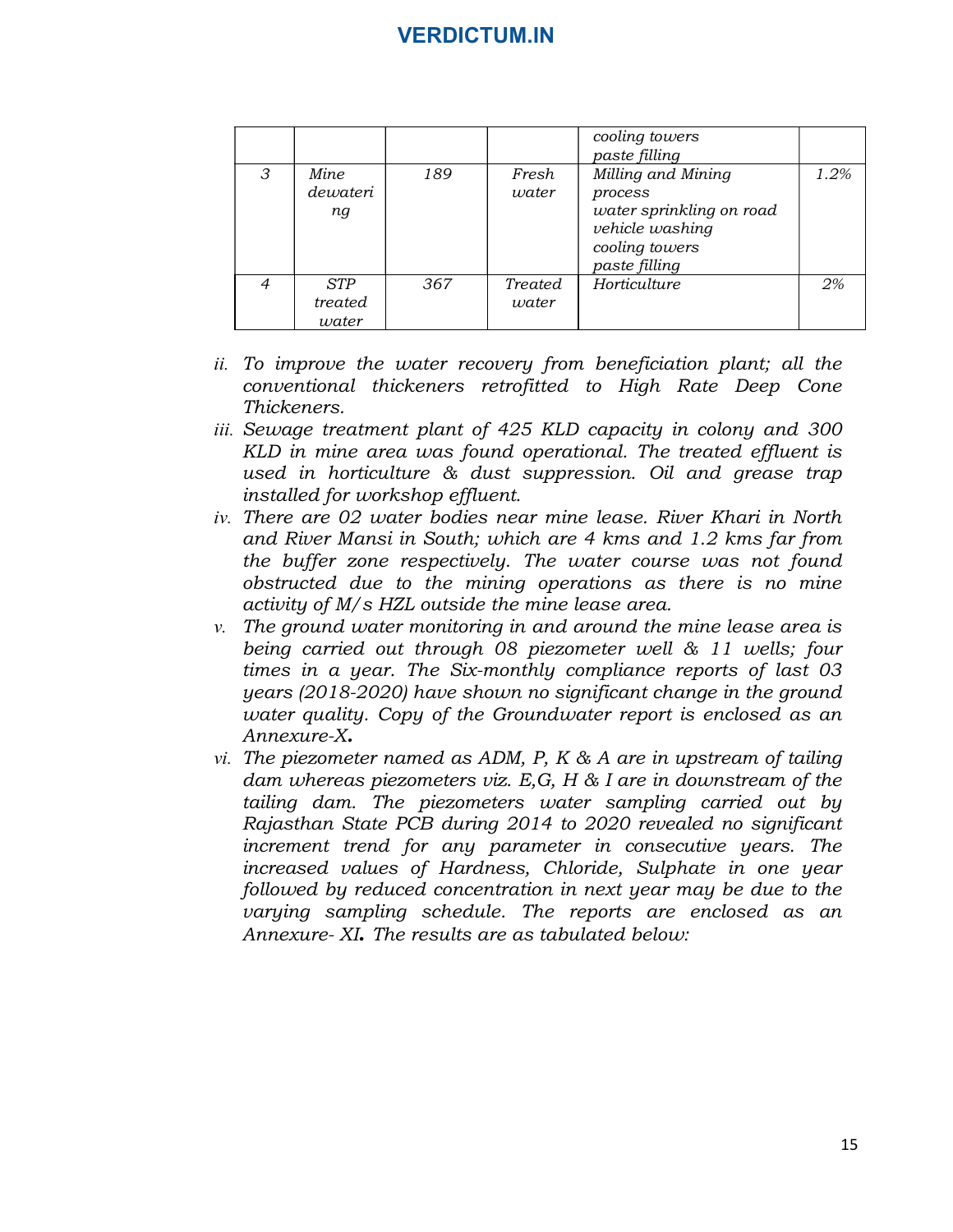|   |                | <b>VERDICTUM.IN</b> |       |                                                                                           |      |
|---|----------------|---------------------|-------|-------------------------------------------------------------------------------------------|------|
|   |                |                     |       |                                                                                           |      |
|   |                |                     |       |                                                                                           |      |
|   |                |                     |       | cooling towers<br>paste filling                                                           |      |
| 3 | Mine           | 189                 | Fresh | Milling and Mining                                                                        | 1.2% |
|   | dewateri<br>ng |                     | water | process<br>water sprinkling on road<br>vehicle washing<br>cooling towers<br>paste filling |      |

- ii. To improve the water recovery from beneficiation plant; all the conventional thickeners retrofitted to High Rate Deep Cone Thickeners.
- iii. Sewage treatment plant of 425 KLD capacity in colony and 300 KLD in mine area was found operational. The treated effluent is used in horticulture & dust suppression. Oil and grease trap installed for workshop effluent.
- iv. There are 02 water bodies near mine lease. River Khari in North and River Mansi in South; which are 4 kms and 1.2 kms far from the buffer zone respectively. The water course was not found obstructed due to the mining operations as there is no mine activity of M/s HZL outside the mine lease area.
- $v$ . The ground water monitoring in and around the mine lease area is being carried out through 08 piezometer well & 11 wells; four times in a year. The Six-monthly compliance reports of last 03 years (2018-2020) have shown no significant change in the ground water quality. Copy of the Groundwater report is enclosed as an Annexure-X.
- vi. The piezometer named as ADM, P, K  $\&$  A are in upstream of tailing dam whereas piezometers viz. E,G, H & I are in downstream of the tailing dam. The piezometers water sampling carried out by Rajasthan State PCB during 2014 to 2020 revealed no significant increment trend for any parameter in consecutive years. The increased values of Hardness, Chloride, Sulphate in one year followed by reduced concentration in next year may be due to the varying sampling schedule. The reports are enclosed as an Annexure- XI. The results are as tabulated below: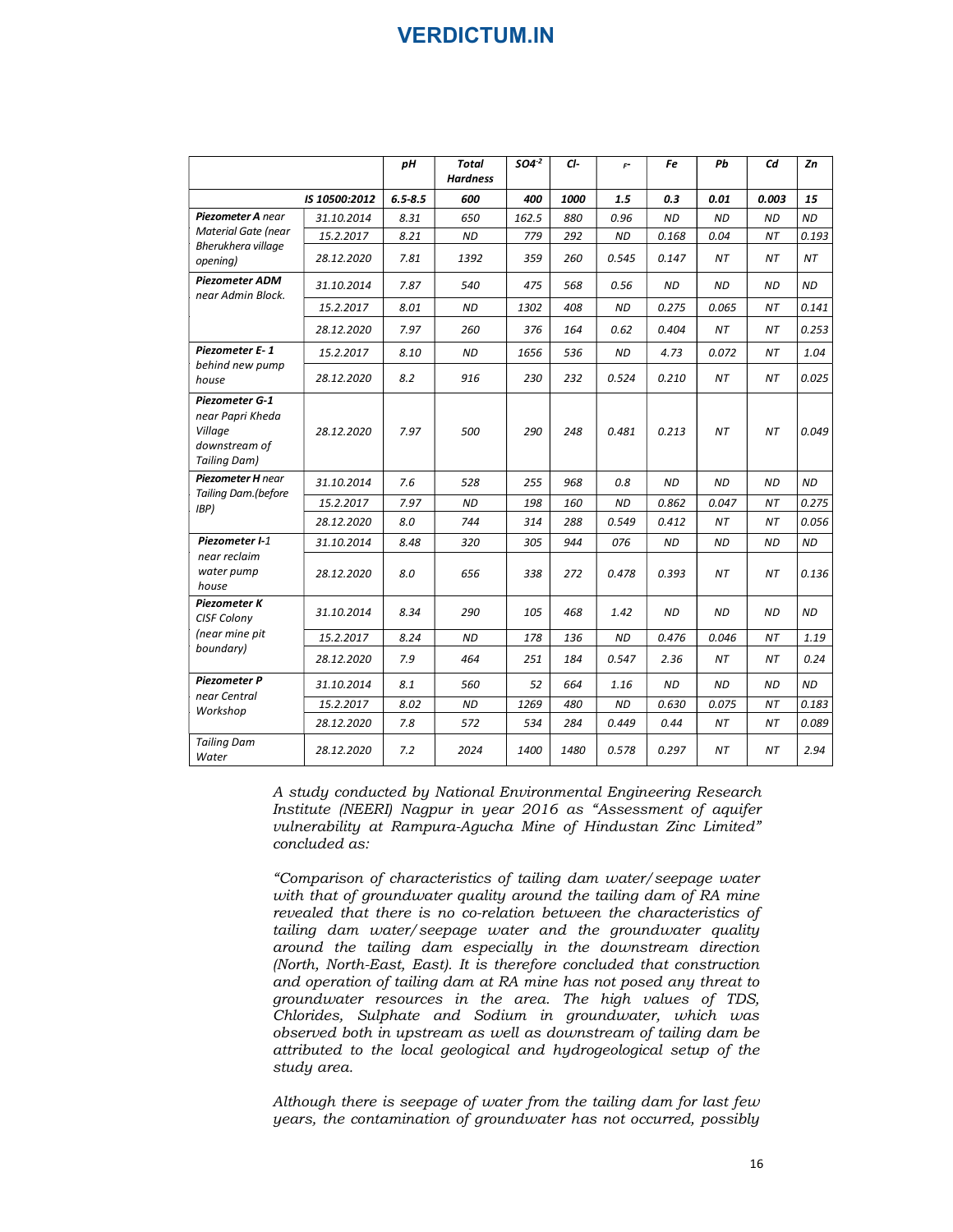|                                                                                |               |             | <b>VERDICTUM.IN</b>      |           |      |                      |           |           |           |           |
|--------------------------------------------------------------------------------|---------------|-------------|--------------------------|-----------|------|----------------------|-----------|-----------|-----------|-----------|
|                                                                                |               | pН          | Total<br><b>Hardness</b> | $504 - 2$ | CI-  | $\mathsf{F}^{\perp}$ | Fe        | Pb        | Cd        | Ζn        |
|                                                                                | IS 10500:2012 | $6.5 - 8.5$ | 600                      | 400       | 1000 | 1.5                  | 0.3       | 0.01      | 0.003     | 15        |
| Piezometer A near                                                              | 31.10.2014    | 8.31        | 650                      | 162.5     | 880  | 0.96                 | <b>ND</b> | <b>ND</b> | <b>ND</b> | <b>ND</b> |
| <b>Material Gate (near</b><br>Bherukhera village                               | 15.2.2017     | 8.21        | ND                       | 779       | 292  | ND                   | 0.168     | 0.04      | ΝT        | 0.193     |
| opening)                                                                       | 28.12.2020    | 7.81        | 1392                     | 359       | 260  | 0.545                | 0.147     | NΤ        | ΝT        | ΝT        |
| Piezometer ADM<br>near Admin Block.                                            | 31.10.2014    | 7.87        | 540                      | 475       | 568  | 0.56                 | <b>ND</b> | <b>ND</b> | <b>ND</b> | <b>ND</b> |
|                                                                                | 15.2.2017     | 8.01        | ND                       | 1302      | 408  | <b>ND</b>            | 0.275     | 0.065     | NΤ        | 0.141     |
|                                                                                | 28.12.2020    | 7.97        | 260                      | 376       | 164  | 0.62                 | 0.404     | NT        | NΤ        | 0.253     |
| Piezometer E-1                                                                 | 15.2.2017     | 8.10        | ND                       | 1656      | 536  | <b>ND</b>            | 4.73      | 0.072     | NΤ        | 1.04      |
| behind new pump<br>house                                                       | 28.12.2020    | 8.2         | 916                      | 230       | 232  | 0.524                | 0.210     | NT        | NΤ        | 0.025     |
| Piezometer G-1<br>near Papri Kheda<br>Village<br>downstream of<br>Tailing Dam) | 28.12.2020    | 7.97        | 500                      | 290       | 248  | 0.481                | 0.213     | NΤ        | NΤ        | 0.049     |
| Piezometer H near                                                              | 31.10.2014    | 7.6         | 528                      | 255       | 968  | 0.8                  | ND        | ND        | ND        | <b>ND</b> |
| Tailing Dam.(before<br>IBP)                                                    | 15.2.2017     | 7.97        | <b>ND</b>                | 198       | 160  | $\mathit{ND}$        | 0.862     | 0.047     | $\it{NT}$ | 0.275     |
|                                                                                | 28.12.2020    | $8.0\,$     | 744                      | 314       | 288  | 0.549                | 0.412     | NT        | NΤ        | 0.056     |
| Piezometer I-1<br>near reclaim                                                 | 31.10.2014    | 8.48        | 320                      | 305       | 944  | 076                  | <b>ND</b> | ND        | ND        | <b>ND</b> |
| water pump<br>house                                                            | 28.12.2020    | 8.0         | 656                      | 338       | 272  | 0.478                | 0.393     | NΤ        | NΤ        | 0.136     |
| Piezometer K<br>CISF Colony                                                    | 31.10.2014    | 8.34        | 290                      | 105       | 468  | 1.42                 | <b>ND</b> | <b>ND</b> | ND        | ND        |
| (near mine pit                                                                 | 15.2.2017     | 8.24        | <b>ND</b>                | 178       | 136  | <b>ND</b>            | 0.476     | 0.046     | $\it{NT}$ | 1.19      |
| boundary)                                                                      | 28.12.2020    | 7.9         | 464                      | 251       | 184  | 0.547                | 2.36      | NT        | NΤ        | 0.24      |
| Piezometer P                                                                   | 31.10.2014    | 8.1         | 560                      | 52        | 664  | 1.16                 | ND        | <b>ND</b> | <b>ND</b> | ND        |
| near Central                                                                   | 15.2.2017     | 8.02        | <b>ND</b>                | 1269      | 480  | <b>ND</b>            | 0.630     | 0.075     | NΤ        | 0.183     |
| Workshop                                                                       | 28.12.2020    | 7.8         | 572                      | 534       | 284  | 0.449                | 0.44      | ΝT        | NΤ        | 0.089     |
| <b>Tailing Dam</b>                                                             | 28.12.2020    | 7.2         | 2024                     | 1400      | 1480 | 0.578                | 0.297     | NT        | NT        | 2.94      |

A study conducted by National Environmental Engineering Research Institute (NEERI) Nagpur in year 2016 as "Assessment of aquifer vulnerability at Rampura-Agucha Mine of Hindustan Zinc Limited" concluded as:

"Comparison of characteristics of tailing dam water/seepage water with that of groundwater quality around the tailing dam of RA mine revealed that there is no co-relation between the characteristics of tailing dam water/seepage water and the groundwater quality around the tailing dam especially in the downstream direction (North, North-East, East). It is therefore concluded that construction and operation of tailing dam at RA mine has not posed any threat to groundwater resources in the area. The high values of TDS, Chlorides, Sulphate and Sodium in groundwater, which was observed both in upstream as well as downstream of tailing dam be attributed to the local geological and hydrogeological setup of the study area.

Although there is seepage of water from the tailing dam for last few years, the contamination of groundwater has not occurred, possibly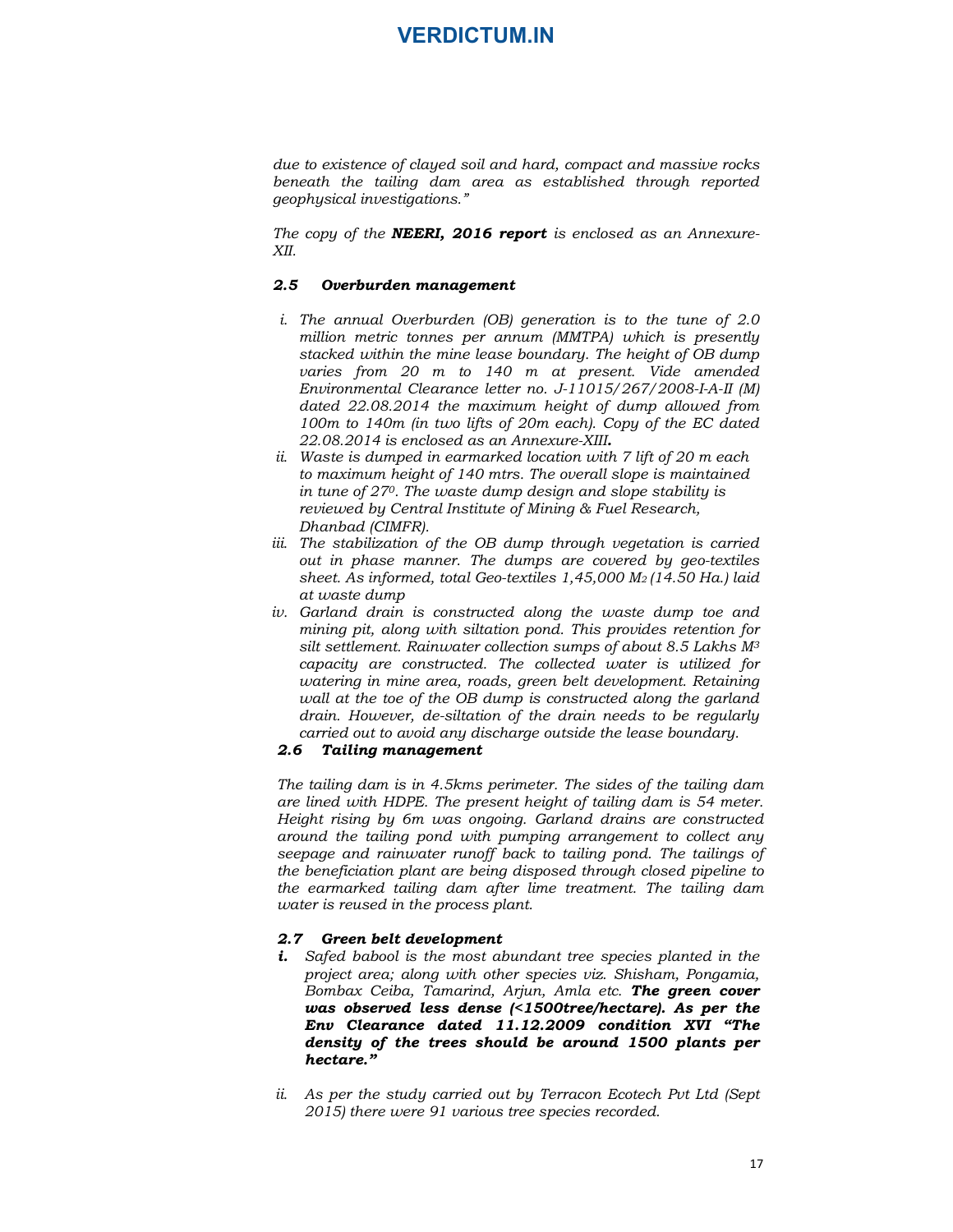due to existence of clayed soil and hard, compact and massive rocks beneath the tailing dam area as established through reported geophysical investigations."

The copy of the **NEERI, 2016 report** is enclosed as an Annexure-XII.

#### 2.5 Overburden management

- **i**<br>
i.e to existence of clayed soil and hard, compact and massive rocks<br>
benerath the tailing dam area as established through reported<br>
i.eoplysical investigations."<br>
The copy of the **NEERI, 2016 report** is enclosed as an million metric tonnes per annum (MMTPA) which is presently stacked within the mine lease boundary. The height of OB dump varies from 20 m to 140 m at present. Vide amended Environmental Clearance letter no. J-11015/267/2008-I-A-II (M) dated 22.08.2014 the maximum height of dump allowed from 100m to 140m (in two lifts of 20m each). Copy of the EC dated 22.08.2014 is enclosed as an Annexure-XIII.<br>ii. Waste is dumped in earmarked location with 7 lift of 20 m each due to existence of clayed soil and hard, compact and massive rocks<br>beophysical investigations."<br>espenhysical investigations."<br>The copy of the **NEERI, 2016 report** is enclosed as an Annexure-<br>XII.<br>2.5 **Overburden manageme** due to existence of clayed soil and hard, compact and massive rocks<br>beneath the tailing dam area as established through reported<br>geophysical investigations."<br>The copy of the **WEERI, 2016 report** is enclosed as an Annexure The copy of the **NEERI, 2016 report** is enclosed as an Annexare-XII.<br>
2.5 **Overburden management**<br>
i. The annual Overburden (OB) generation is to the tune of 2.0<br>
million metric tonnes per annum (MMTPA) which is presently
- to maximum height of 140 mtrs. The overall slope is maintained in tune of  $27<sup>0</sup>$ . The waste dump design and slope stability is reviewed by Central Institute of Mining & Fuel Research,
- Dhanbad (CIMFR).<br>iii. The stabilization of the OB dump through vegetation is carried out in phase manner. The dumps are covered by geo-textiles sheet. As informed, total Geo-textiles 1,45,000 M2 (14.50 Ha.) laid at waste dump
- mining pit, along with siltation pond. This provides retention for silt settlement. Rainwater collection sumps of about 8.5 Lakhs  $M^3$ capacity are constructed. The collected water is utilized for watering in mine area, roads, green belt development. Retaining wall at the toe of the OB dump is constructed along the garland drain. However, de-siltation of the drain needs to be regularly carried out to avoid any discharge outside the lease boundary. ii. The stabilization of the OB dump through vegetation is carried<br>out in phase manner. The dumps are covered by geo-textiles<br>sheet. As informed, total Geo-textiles 1,45,000 M<sub>2</sub> (14.50 Ha.) liad<br>out at usate dump<br>on diff

#### 2.6 Tailing management

The tailing dam is in 4.5kms perimeter. The sides of the tailing dam are lined with HDPE. The present height of tailing dam is 54 meter. Height rising by 6m was ongoing. Garland drains are constructed around the tailing pond with pumping arrangement to collect any seepage and rainwater runoff back to tailing pond. The tailings of the beneficiation plant are being disposed through closed pipeline to the earmarked tailing dam after lime treatment. The tailing dam water is reused in the process plant. in the toe of the OB the dimpin is constructed along the grandation dimensions and the total any discharge outside the lease boundary.<br>
The tailing dam is in 4.5kms perimeter. The sides of the tailing dam<br>
are lined with H

- i. Safed babool is the most abundant tree species planted in the project area; along with other species viz. Shisham, Pongamia, Bombax Ceiba, Tamarind, Arjun, Amla etc. The green cover was observed less dense (<1500tree/hectare). As per the Env Clearance dated 11.12.2009 condition XVI "The density of the trees should be around 1500 plants per hectare."
- 2015) there were 91 various tree species recorded.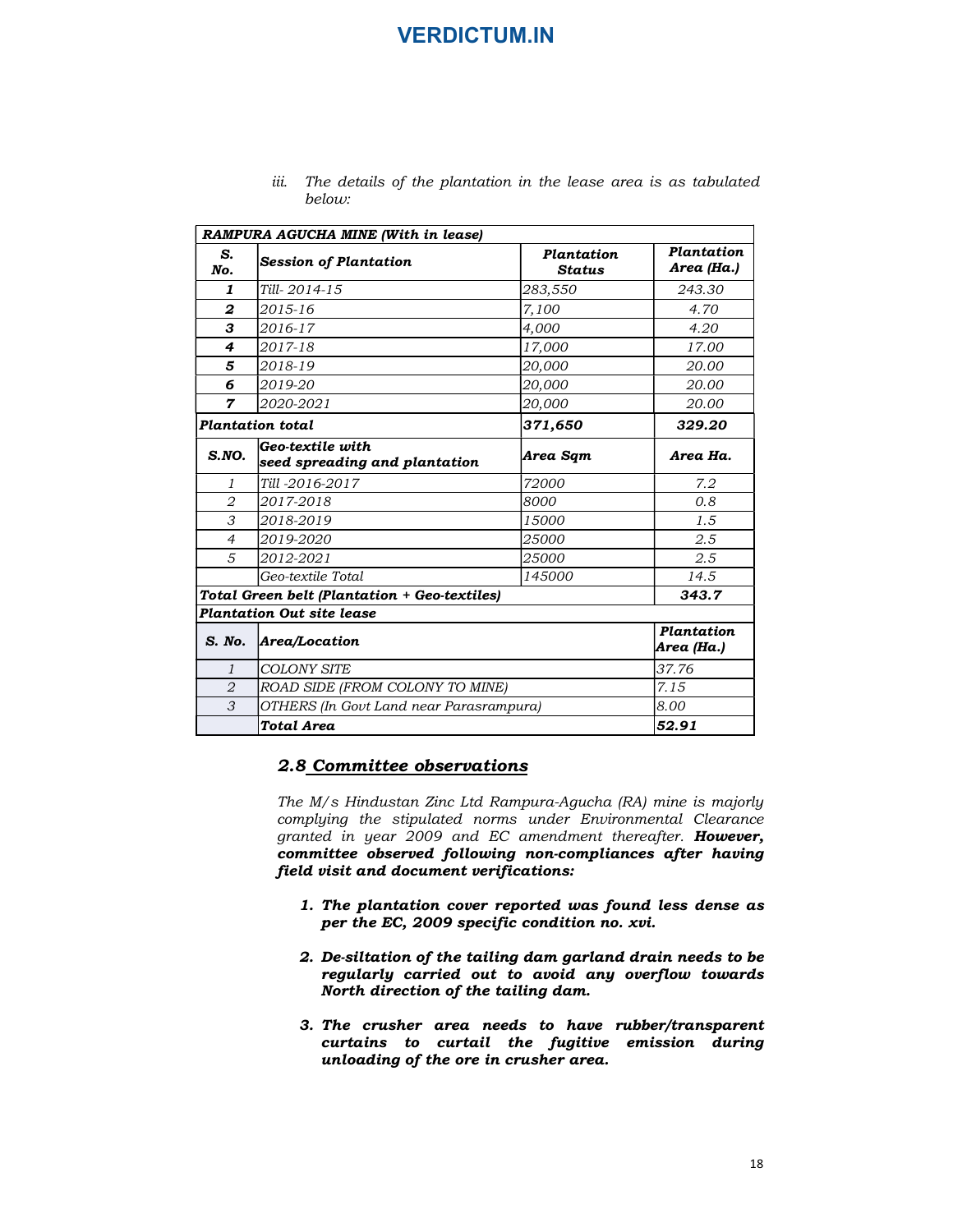| The details of the plantation in the lease area is as tabulated |  |  |  |  |  |
|-----------------------------------------------------------------|--|--|--|--|--|
| below:                                                          |  |  |  |  |  |

|                     | <b>VERDICTUM.IN</b>                                                                                                                                                                                                                                                                                                                                                                                                                                                                                                                                                                                          |                  |                          |
|---------------------|--------------------------------------------------------------------------------------------------------------------------------------------------------------------------------------------------------------------------------------------------------------------------------------------------------------------------------------------------------------------------------------------------------------------------------------------------------------------------------------------------------------------------------------------------------------------------------------------------------------|------------------|--------------------------|
|                     |                                                                                                                                                                                                                                                                                                                                                                                                                                                                                                                                                                                                              |                  |                          |
|                     |                                                                                                                                                                                                                                                                                                                                                                                                                                                                                                                                                                                                              |                  |                          |
|                     |                                                                                                                                                                                                                                                                                                                                                                                                                                                                                                                                                                                                              |                  |                          |
|                     |                                                                                                                                                                                                                                                                                                                                                                                                                                                                                                                                                                                                              |                  |                          |
|                     |                                                                                                                                                                                                                                                                                                                                                                                                                                                                                                                                                                                                              |                  |                          |
|                     | iii.<br>The details of the plantation in the lease area is as tabulated<br>below:                                                                                                                                                                                                                                                                                                                                                                                                                                                                                                                            |                  |                          |
|                     | RAMPURA AGUCHA MINE (With in lease)                                                                                                                                                                                                                                                                                                                                                                                                                                                                                                                                                                          |                  |                          |
| S.                  | <b>Session of Plantation</b>                                                                                                                                                                                                                                                                                                                                                                                                                                                                                                                                                                                 | Plantation       | Plantation               |
| No.                 |                                                                                                                                                                                                                                                                                                                                                                                                                                                                                                                                                                                                              | Status           | Area (Ha.)               |
| 1<br>2              | Till-2014-15<br>2015-16                                                                                                                                                                                                                                                                                                                                                                                                                                                                                                                                                                                      | 283,550<br>7,100 | 243.30<br>4.70           |
| з                   | 2016-17                                                                                                                                                                                                                                                                                                                                                                                                                                                                                                                                                                                                      | 4,000            | 4.20                     |
| 4                   | 2017-18                                                                                                                                                                                                                                                                                                                                                                                                                                                                                                                                                                                                      | 17,000           | 17.00                    |
| 5                   | 2018-19                                                                                                                                                                                                                                                                                                                                                                                                                                                                                                                                                                                                      | <i>20,000</i>    | 20.00                    |
| 6                   | 2019-20                                                                                                                                                                                                                                                                                                                                                                                                                                                                                                                                                                                                      | <i>20,000</i>    | 20.00                    |
| 7                   | 2020-2021                                                                                                                                                                                                                                                                                                                                                                                                                                                                                                                                                                                                    | <i>20,000</i>    | <i>20.00</i>             |
|                     | <b>Plantation total</b>                                                                                                                                                                                                                                                                                                                                                                                                                                                                                                                                                                                      | 371,650          | 329.20                   |
| S.NO.               | Geo-textile with<br>seed spreading and plantation                                                                                                                                                                                                                                                                                                                                                                                                                                                                                                                                                            | Area Sqm         | Area Ha.                 |
| $\mathbf{1}$        | Till -2016-2017                                                                                                                                                                                                                                                                                                                                                                                                                                                                                                                                                                                              | 72000            | $7.2\,$                  |
| $\mathfrak 2$       | 2017-2018                                                                                                                                                                                                                                                                                                                                                                                                                                                                                                                                                                                                    | 8000             | 0.8                      |
| 3<br>$\overline{4}$ | 2018-2019<br>2019-2020                                                                                                                                                                                                                                                                                                                                                                                                                                                                                                                                                                                       | 15000<br>25000   | 1.5<br>2.5               |
| 5                   | 2012-2021                                                                                                                                                                                                                                                                                                                                                                                                                                                                                                                                                                                                    | 25000            | 2.5                      |
|                     | Geo-textile Total                                                                                                                                                                                                                                                                                                                                                                                                                                                                                                                                                                                            | 145000           | 14.5                     |
|                     | Total Green belt (Plantation + Geo-textiles)                                                                                                                                                                                                                                                                                                                                                                                                                                                                                                                                                                 |                  | 343.7                    |
|                     | <b>Plantation Out site lease</b>                                                                                                                                                                                                                                                                                                                                                                                                                                                                                                                                                                             |                  |                          |
| S. No.              | Area/Location                                                                                                                                                                                                                                                                                                                                                                                                                                                                                                                                                                                                |                  | Plantation<br>Area (Ha.) |
| 1                   | <b>COLONY SITE</b>                                                                                                                                                                                                                                                                                                                                                                                                                                                                                                                                                                                           |                  | 37.76                    |
| $\mathfrak{D}$      | ROAD SIDE (FROM COLONY TO MINE)                                                                                                                                                                                                                                                                                                                                                                                                                                                                                                                                                                              |                  | 7.15                     |
| 3                   | OTHERS (In Govt Land near Parasrampura)                                                                                                                                                                                                                                                                                                                                                                                                                                                                                                                                                                      |                  | 8.00                     |
|                     | Total Area                                                                                                                                                                                                                                                                                                                                                                                                                                                                                                                                                                                                   |                  | 52.91                    |
|                     | 2.8 Committee observations<br>The M/s Hindustan Zinc Ltd Rampura-Agucha (RA) mine is majorly<br>complying the stipulated norms under Environmental Clearance<br>granted in year 2009 and EC amendment thereafter. However,<br>committee observed following non-compliances after having<br>field visit and document verifications:<br>1. The plantation cover reported was found less dense as<br>per the EC, 2009 specific condition no. xvi.<br>2. De-siltation of the tailing dam garland drain needs to be<br>regularly carried out to avoid any overflow towards<br>North direction of the tailing dam. |                  |                          |

#### 2.8 Committee observations

- per the EC, 2009 specific condition no. xvi.
- regularly carried out to avoid any overflow towards North direction of the tailing dam.
- curtains to curtail the fugitive emission during unloading of the ore in crusher area.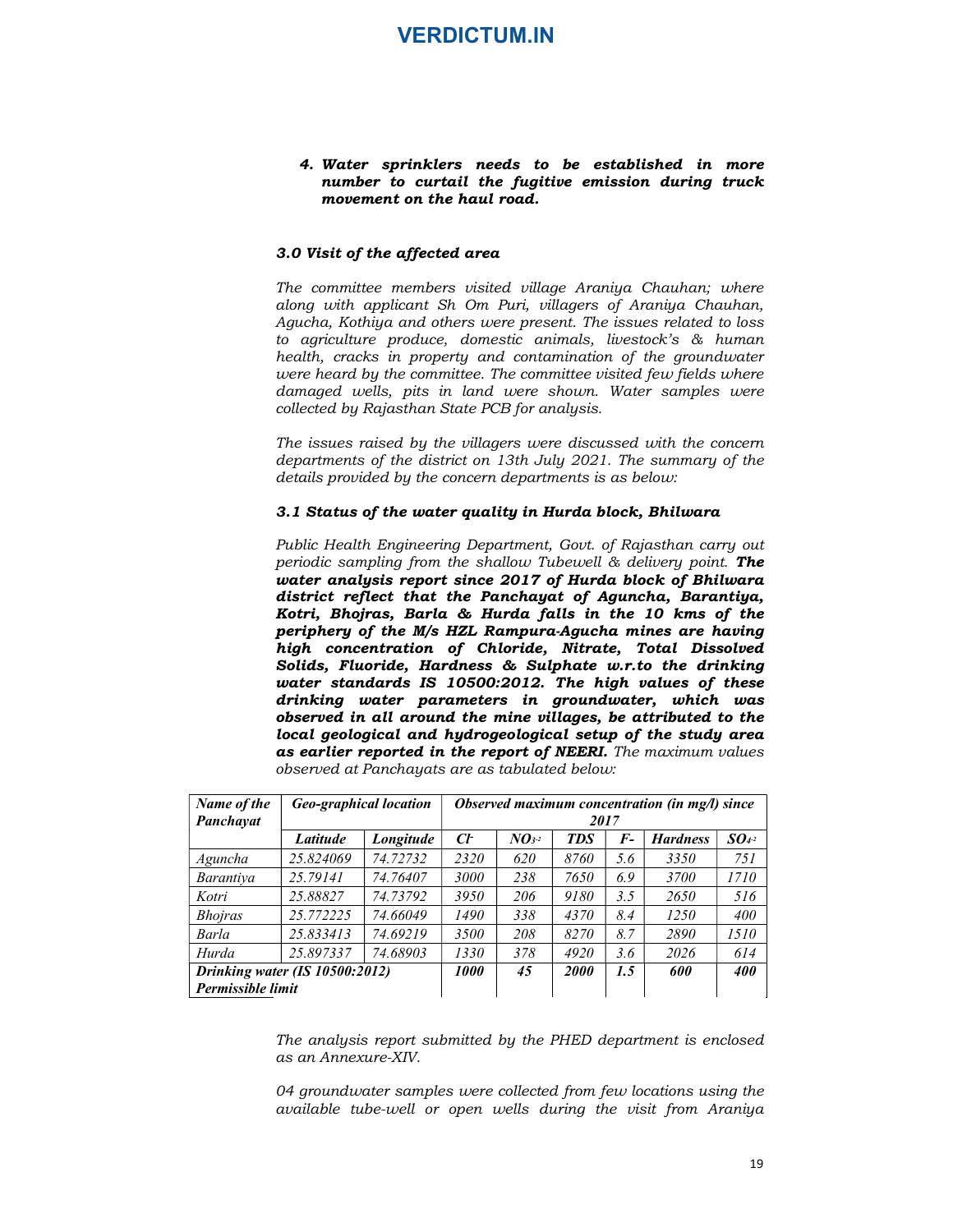# VERDICTUM.IN<br>
4. Water sprinklers needs to be established in more<br>
number to curtail the fugitive emission during truck<br>
movement on the haul road.<br>
Divisit of the affected area number to curtail the fugitive emission during truck movement on the haul road.

#### 3.0 Visit of the affected area

The committee members visited village Araniya Chauhan; where along with applicant Sh Om Puri, villagers of Araniya Chauhan, Agucha, Kothiya and others were present. The issues related to loss to agriculture produce, domestic animals, livestock's & human health, cracks in property and contamination of the groundwater were heard by the committee. The committee visited few fields where damaged wells, pits in land were shown. Water samples were collected by Rajasthan State PCB for analysis.

The issues raised by the villagers were discussed with the concern departments of the district on 13th July 2021. The summary of the details provided by the concern departments is as below:

#### 3.1 Status of the water quality in Hurda block, Bhilwara

Public Health Engineering Department, Govt. of Rajasthan carry out periodic sampling from the shallow Tubewell  $\&$  delivery point. The water analysis report since 2017 of Hurda block of Bhilwara district reflect that the Panchayat of Aguncha, Barantiya, Kotri, Bhojras, Barla & Hurda falls in the 10 kms of the periphery of the M/s HZL Rampura-Agucha mines are having high concentration of Chloride, Nitrate, Total Dissolved Solids, Fluoride, Hardness & Sulphate w.r.to the drinking water standards IS 10500:2012. The high values of these drinking water parameters in groundwater, which was observed in all around the mine villages, be attributed to the local geological and hydrogeological setup of the study area as earlier reported in the report of NEERI. The maximum values observed at Panchayats are as tabulated below: llected by Rajasihan State PCB for analysis.<br>
le issues raised by the villagers were discussed with the concern<br>
partments of the district on 13th July 2021. The summary of the<br>
ratis provided by the concern departments i e issues raised by the villagers were discussed with the concern<br>partments of the district on 13th July 2021. The summary of the<br>tails provided by the concern departments is as below:<br> **I Status of the water quality in Hu** between the concernative of the concernative of the stream of the transmary of the transmary of the transmary of the transmary of the Hardness Social Concernative of Britan and  $\tau$  of Hardness Society point. The state of departments of the district on 13th July 2021. The summary of the details provided by the concern departments is as below:<br>
3.1 Status of the water quality in Hurda block, Bhilwara<br>
Public Health Engineering Department, G details provided by the concern departments is as below:<br>
3.1 Statuts of the water quality in Hurda block, Brittwara<br>
Public Health Engineering Department, Goot. of Rajashtan carry out<br>
periodic sampling from the shallow since 2017 of Hurda block of Bhilwara<br>
since 2017 of Hurda block of Bhilwara<br>
he Panchayat of Aguncha, Barantiya,<br>
& Hurda falls in the 10 kms of the<br>
EZL Rampura-Agucha mines are having<br>
the meters in groundwater, which

|                          | Public Health Engineering Department, Govt. of Rajasthan carry out<br>periodic sampling from the shallow Tubewell & delivery point. The                                                                                                                                                                                                                                                                                                                                                                                                                                                                                                                                                                                                            |           |                    |                    |             |       |                                                |            |
|--------------------------|----------------------------------------------------------------------------------------------------------------------------------------------------------------------------------------------------------------------------------------------------------------------------------------------------------------------------------------------------------------------------------------------------------------------------------------------------------------------------------------------------------------------------------------------------------------------------------------------------------------------------------------------------------------------------------------------------------------------------------------------------|-----------|--------------------|--------------------|-------------|-------|------------------------------------------------|------------|
|                          | water analysis report since 2017 of Hurda block of Bhilwara<br>district reflect that the Panchayat of Aguncha, Barantiya,<br>Kotri, Bhojras, Barla & Hurda falls in the 10 kms of the<br>periphery of the M/s HZL Rampura-Agucha mines are having<br>high concentration of Chloride, Nitrate, Total Dissolved<br>Solids, Fluoride, Hardness & Sulphate w.r.to the drinking<br>water standards IS 10500:2012. The high values of these<br>drinking water parameters in groundwater, which was<br>observed in all around the mine villages, be attributed to the<br>local geological and hydrogeological setup of the study area<br>as earlier reported in the report of NEERI. The maximum values<br>observed at Panchayats are as tabulated below: |           |                    |                    |             |       |                                                |            |
| Name of the<br>Panchayat | <b>Geo-graphical location</b>                                                                                                                                                                                                                                                                                                                                                                                                                                                                                                                                                                                                                                                                                                                      |           |                    |                    | 2017        |       | Observed maximum concentration (in mg/l) since |            |
|                          | Latitude                                                                                                                                                                                                                                                                                                                                                                                                                                                                                                                                                                                                                                                                                                                                           | Longitude | $C\!F$             | $N\mathbf{O}3^{2}$ | <b>TDS</b>  | $F -$ | <b>Hardness</b>                                | $SO4-2$    |
| Aguncha                  | 25.824069                                                                                                                                                                                                                                                                                                                                                                                                                                                                                                                                                                                                                                                                                                                                          | 74.72732  | 2320               | 620                | 8760        | 5.6   | 3350                                           | 751        |
| Barantiya                | 25.79141                                                                                                                                                                                                                                                                                                                                                                                                                                                                                                                                                                                                                                                                                                                                           | 74.76407  | 3000               | 238                | 7650        | 6.9   | 3700                                           | 1710       |
| Kotri                    | 25.88827                                                                                                                                                                                                                                                                                                                                                                                                                                                                                                                                                                                                                                                                                                                                           | 74.73792  | 3950               | 206                | 9180        | 3.5   | 2650                                           | 516        |
| <i>Bhojras</i>           | 25.772225                                                                                                                                                                                                                                                                                                                                                                                                                                                                                                                                                                                                                                                                                                                                          | 74.66049  | 1490               | 338                | 4370        | 8.4   | 1250                                           | 400        |
| Barla                    | 25.833413                                                                                                                                                                                                                                                                                                                                                                                                                                                                                                                                                                                                                                                                                                                                          | 74.69219  | 3500               | 208                | 8270        | 8.7   | 2890                                           | 1510       |
| Hurda                    | 25.897337                                                                                                                                                                                                                                                                                                                                                                                                                                                                                                                                                                                                                                                                                                                                          | 74.68903  | 1330               | 378                | 4920        | 3.6   | 2026                                           | 614        |
|                          | Drinking water (IS 10500:2012)<br>Permissible limit                                                                                                                                                                                                                                                                                                                                                                                                                                                                                                                                                                                                                                                                                                |           | <i><b>1000</b></i> | 45                 | <b>2000</b> | 1.5   | 600                                            | <b>400</b> |

The analysis report submitted by the PHED department is enclosed as an Annexure-XIV.

04 groundwater samples were collected from few locations using the available tube-well or open wells during the visit from Araniya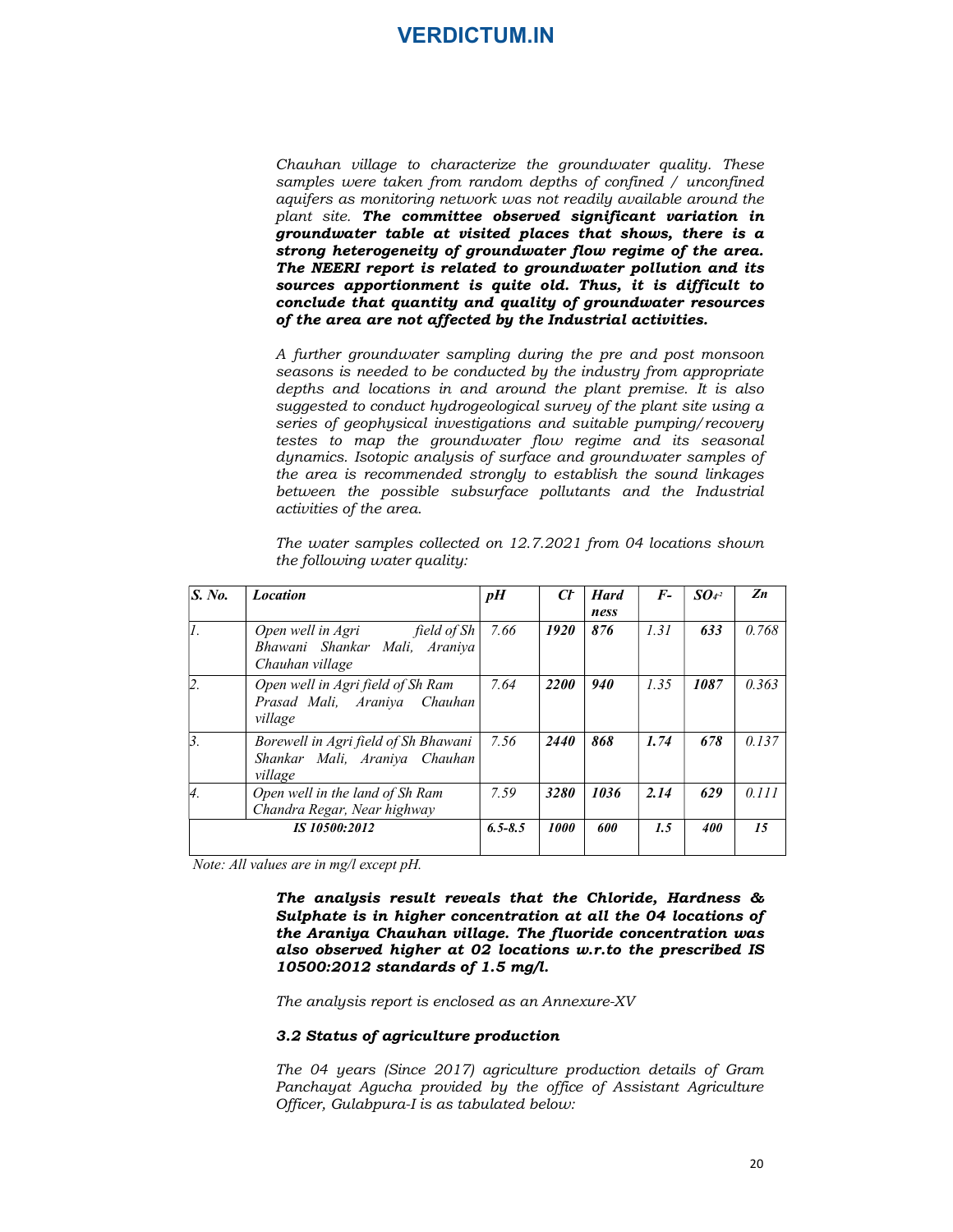Chauhan village to characterize the groundwater quality. These samples were taken from random depths of confined / unconfined aquifers as monitoring network was not readily available around the plant site. The committee observed significant variation in groundwater table at visited places that shows, there is a strong heterogeneity of groundwater flow regime of the area. The NEERI report is related to groundwater pollution and its **Chauhan village to characterize the groundwater quality.** These samples were taken from random depths of confined  $\gamma$  unconfined plant site. **The committee observed significant variation in** groundwater table at visited conclude that quantity and quality of groundwater resources of the area are not affected by the Industrial activities.

A further groundwater sampling during the pre and post monsoon seasons is needed to be conducted by the industry from appropriate depths and locations in and around the plant premise. It is also suggested to conduct hydrogeological survey of the plant site using a series of geophysical investigations and suitable pumping/recovery testes to map the groundwater flow regime and its seasonal dynamics. Isotopic analysis of surface and groundwater samples of the area is recommended strongly to establish the sound linkages between the possible subsurface pollutants and the Industrial activities of the area. aquifers as monitoring neutron's unsation readily available around the promattuous and reading the strong heterogeneity of groundwater follow regime of the area.<br> **STOR METHEM CONSULTER STORY IS and the state of shows, th** indivate flow regime of the area.<br>
undivater power in the creative of the area.<br>
undivided in this, it is difficult to<br>
quality of groundwater resources<br>
by the Industrial activities.<br>
ing during the pre and post monsoon<br>

The analysis result reveals that the Chloride, Hardness & Sulphate is in higher concentration at all the 04 locations of the Araniya Chauhan village. The fluoride concentration was also observed higher at 02 locations w.r.to the prescribed IS 10500:2012 standards of 1.5 mg/l.

The analysis report is enclosed as an Annexure-XV

#### 3.2 Status of agriculture production

The 04 years (Since 2017) agriculture production details of Gram Panchayat Agucha provided by the office of Assistant Agriculture Officer, Gulabpura-I is as tabulated below: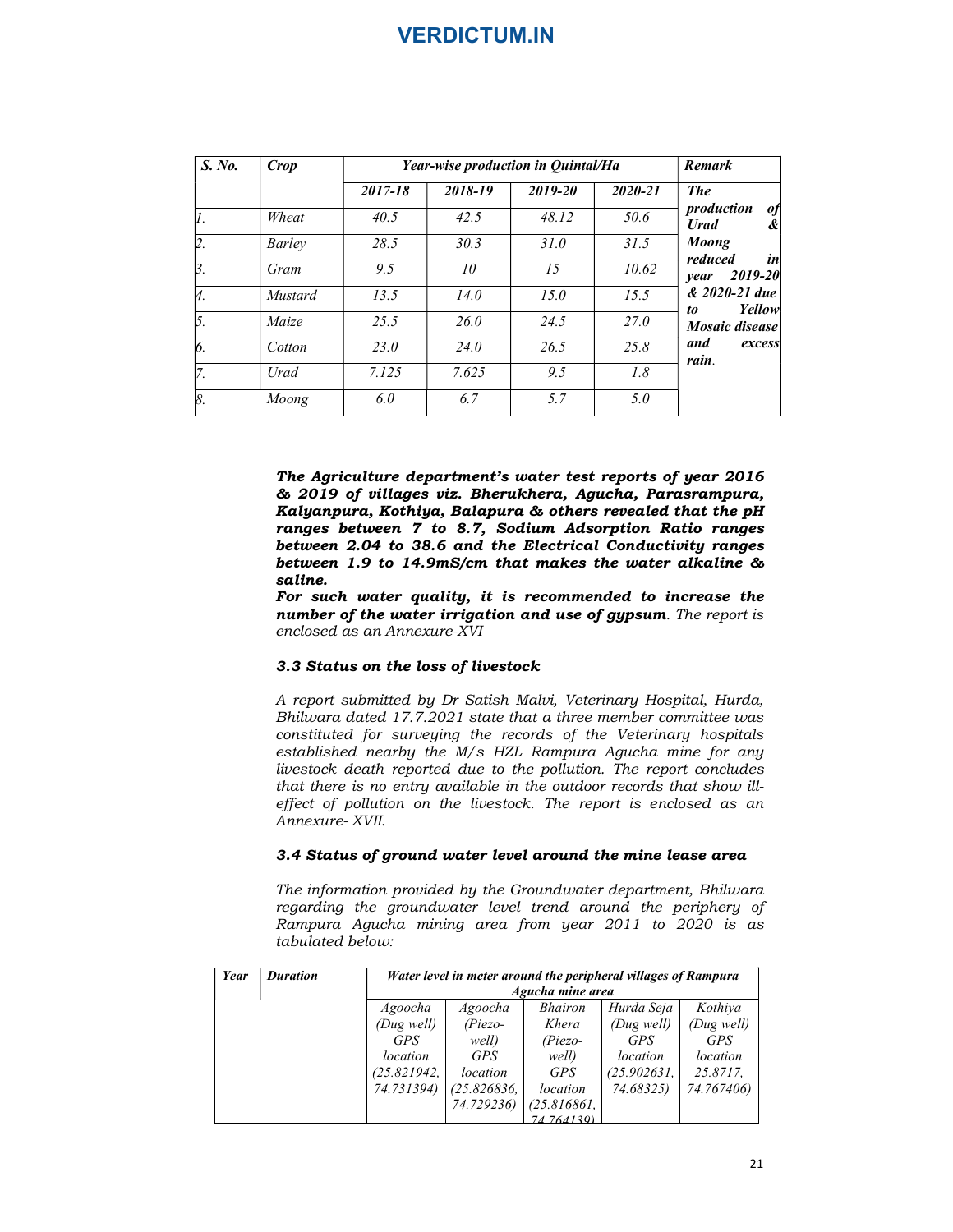|                            |               |                  | <b>VERDICTUM.IN</b>                |                   |                   |                                                    |
|----------------------------|---------------|------------------|------------------------------------|-------------------|-------------------|----------------------------------------------------|
|                            |               |                  |                                    |                   |                   |                                                    |
|                            |               |                  |                                    |                   |                   |                                                    |
|                            |               |                  |                                    |                   |                   |                                                    |
|                            |               |                  |                                    |                   |                   |                                                    |
|                            |               |                  |                                    |                   |                   |                                                    |
|                            |               |                  |                                    |                   |                   |                                                    |
|                            |               |                  |                                    |                   |                   |                                                    |
|                            |               |                  |                                    |                   |                   |                                                    |
|                            |               |                  |                                    |                   |                   |                                                    |
| $\overline{S. No.}$        | <b>Crop</b>   |                  | Year-wise production in Quintal/Ha |                   |                   | Remark                                             |
|                            |               | $2017 - 18$      | 2018-19                            | $2019 - 20$       | $2020 - 21$       | <b>The</b>                                         |
| $\overline{I}$ .           | Wheat         | 40.5             | 42.5                               | 48.12             | 50.6              | production of                                      |
|                            | <b>Barley</b> | 28.5             | 30.3                               | $\overline{31.0}$ | $\overline{31.5}$ | <b>Urad</b><br>$\boldsymbol{\ell}$<br><b>Moong</b> |
|                            |               |                  | ${\it 10}$                         | $\overline{15}$   | 10.62             | reduced<br>in<br>year 2019-20                      |
| $\overline{2}$ .           | Gram          | $\overline{9.5}$ |                                    |                   |                   |                                                    |
| $\overline{\beta}$ .<br>4. | Mustard       | 13.5             | 14.0                               | $\overline{15.0}$ | $\overline{15.5}$ | & 2020-21 due                                      |
| 5.                         | Maize         | 25.5             | 26.0                               | 24.5              | 27.0              | Yellow<br>to                                       |
|                            | Cotton        | 23.0             | 24.0                               | 26.5              | 25.8              | Mosaic disease<br>and<br>excess                    |
| 6.<br>$\overline{7}$ .     | Urad          | 7.125            | 7.625                              | $\overline{9.5}$  | $\overline{1.8}$  | rain.                                              |

The Agriculture department's water test reports of year 2016 & 2019 of villages viz. Bherukhera, Agucha, Parasrampura, Kalyanpura, Kothiya, Balapura & others revealed that the pH ranges between 7 to 8.7, Sodium Adsorption Ratio ranges between 2.04 to 38.6 and the Electrical Conductivity ranges between 1.9 to 14.9mS/cm that makes the water alkaline & saline.

For such water quality, it is recommended to increase the number of the water irrigation and use of gypsum. The report is enclosed as an Annexure-XVI

#### 3.3 Status on the loss of livestock

A report submitted by Dr Satish Malvi, Veterinary Hospital, Hurda, Bhilwara dated 17.7.2021 state that a three member committee was constituted for surveying the records of the Veterinary hospitals established nearby the M/s HZL Rampura Agucha mine for any livestock death reported due to the pollution. The report concludes that there is no entry available in the outdoor records that show illeffect of pollution on the livestock. The report is enclosed as an Annexure- XVII. **saline.**<br> **Saling The mather quality, it is recommended to increase the<br>
number of the water irrigation and use of gypsum.** The report is<br>
enclosed as an Annexure-XVI<br>
3.3 Status on the loss of livestock<br>
A report submit

#### 3.4 Status of ground water level around the mine lease area

The information provided by the Groundwater department, Bhilwara regarding the groundwater level trend around the periphery of Rampura Agucha mining area from year 2011 to 2020 is as tabulated below:

| Year | <b>Duration</b> | Water level in meter around the peripheral villages of Rampura |             |                  |             |            |  |  |
|------|-----------------|----------------------------------------------------------------|-------------|------------------|-------------|------------|--|--|
|      |                 |                                                                |             | Agucha mine area |             |            |  |  |
|      |                 | Agoocha                                                        | Agoocha     | <b>Bhairon</b>   | Hurda Seja  | Kothiya    |  |  |
|      |                 | (Dug well)                                                     | $(Piezo-$   | Khera            | (Dug well)  | (Dug well) |  |  |
|      |                 | <b>GPS</b>                                                     | well)       | $(Piezo-$        | <b>GPS</b>  | <b>GPS</b> |  |  |
|      |                 | location                                                       | <b>GPS</b>  | well)            | location    | location   |  |  |
|      |                 | (25.821942,                                                    | location    | <b>GPS</b>       | (25.902631, | 25.8717.   |  |  |
|      |                 | 74.731394)                                                     | (25.826836, | location         | 74.68325)   | 74.767406) |  |  |
|      |                 |                                                                | 74.729236)  | (25.816861,      |             |            |  |  |
|      |                 |                                                                |             | 74 764130)       |             |            |  |  |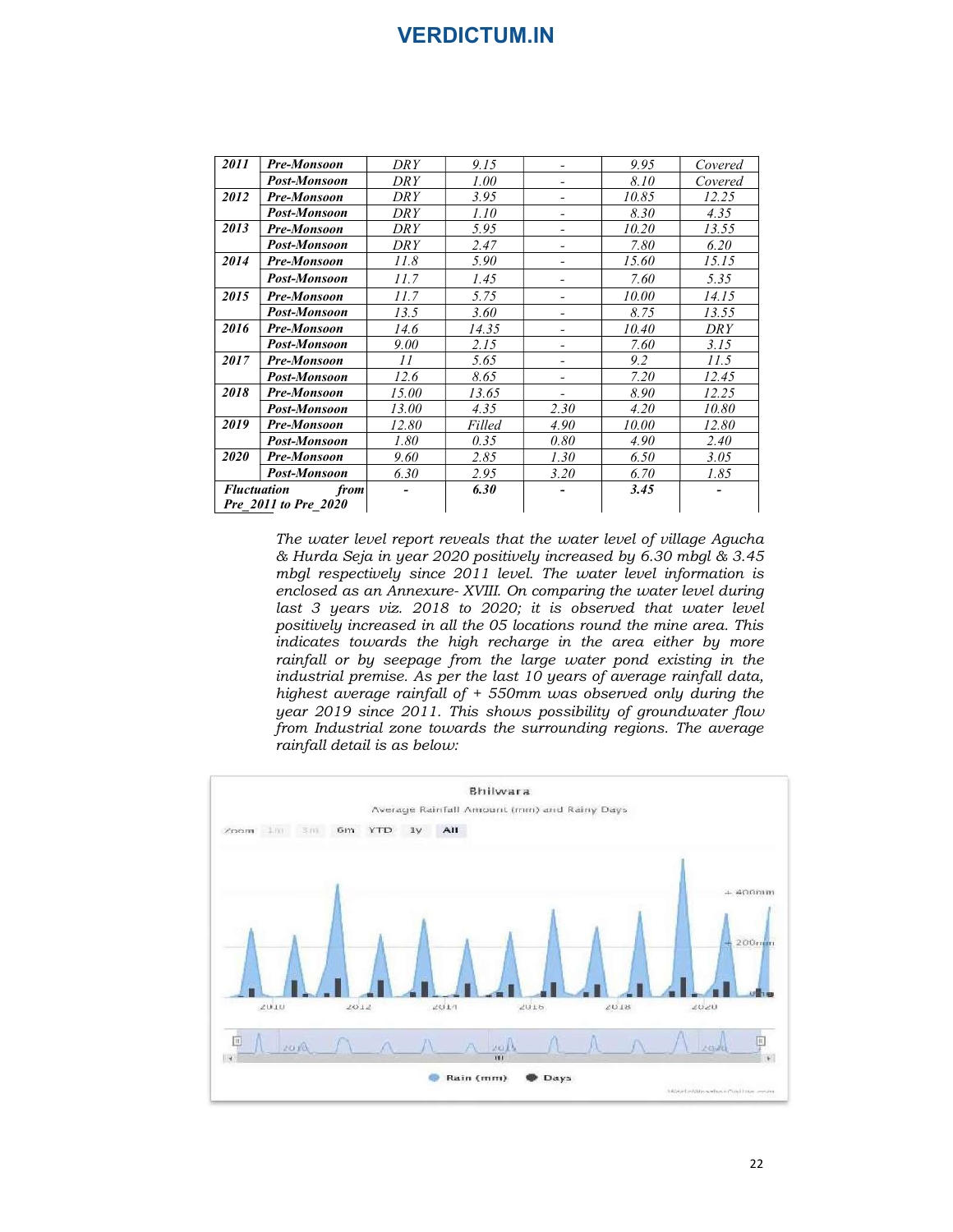|                    |                                                                       |            | <b>VERDICTUM.IN</b> |                          |       |            |
|--------------------|-----------------------------------------------------------------------|------------|---------------------|--------------------------|-------|------------|
|                    |                                                                       |            |                     |                          |       |            |
|                    |                                                                       |            |                     |                          |       |            |
|                    |                                                                       |            |                     |                          |       |            |
|                    |                                                                       |            |                     |                          |       |            |
|                    |                                                                       |            |                     |                          |       |            |
|                    |                                                                       |            |                     |                          |       |            |
|                    |                                                                       |            |                     |                          |       |            |
| 2011               | Pre-Monsoon                                                           | <b>DRY</b> | 9.15                | $\overline{\phantom{a}}$ | 9.95  | Covered    |
|                    | Post-Monsoon                                                          | <b>DRY</b> | 1.00                | $\overline{\phantom{a}}$ | 8.10  | Covered    |
| 2012               | Pre-Monsoon                                                           | <b>DRY</b> | 3.95                | $\overline{\phantom{a}}$ | 10.85 | 12.25      |
|                    | Post-Monsoon                                                          | <b>DRY</b> | 1.10                | $\overline{\phantom{a}}$ | 8.30  | 4.35       |
| 2013               | Pre-Monsoon                                                           | <b>DRY</b> | 5.95                | $\overline{\phantom{a}}$ | 10.20 | 13.55      |
|                    | Post-Monsoon                                                          | <b>DRY</b> | 2.47                | $\overline{\phantom{a}}$ | 7.80  | 6.20       |
| 2014               | Pre-Monsoon                                                           | 11.8       | 5.90                | $\overline{\phantom{a}}$ | 15.60 | 15.15      |
|                    | Post-Monsoon                                                          | 11.7       | 1.45                | $\overline{\phantom{a}}$ | 7.60  | 5.35       |
| 2015               | Pre-Monsoon                                                           | 11.7       | 5.75                | $\overline{\phantom{a}}$ | 10.00 | 14.15      |
|                    | Post-Monsoon                                                          | 13.5       | 3.60                | $\overline{\phantom{a}}$ | 8.75  | 13.55      |
| 2016               | Pre-Monsoon                                                           | 14.6       | 14.35               | $\overline{\phantom{a}}$ | 10.40 | <b>DRY</b> |
|                    | Post-Monsoon                                                          | 9.00       | 2.15                | $\overline{\phantom{a}}$ | 7.60  | 3.15       |
| 2017               | Pre-Monsoon                                                           | 11         | 5.65                | $\overline{\phantom{a}}$ | 9.2   | 11.5       |
|                    | Post-Monsoon                                                          | 12.6       | 8.65                | $\overline{\phantom{a}}$ | 7.20  | 12.45      |
| 2018               | Pre-Monsoon                                                           | 15.00      | 13.65               | $\overline{\phantom{a}}$ | 8.90  | 12.25      |
|                    | Post-Monsoon                                                          | 13.00      | 4.35                | 2.30                     | 4.20  | 10.80      |
| 2019               | Pre-Monsoon                                                           | 12.80      | Filled              | 4.90                     | 10.00 | 12.80      |
|                    | Post-Monsoon                                                          | $1.80\,$   | 0.35                | $0.80\,$                 | 4.90  | 2.40       |
| 2020               | <b>Pre-Monsoon</b>                                                    | 9.60       | 2.85                | 1.30                     | 6.50  | 3.05       |
|                    | <b>Post-Monsoon</b>                                                   | 6.30       | 2.95                | 3.20                     | 6.70  | 1.85       |
| <b>Fluctuation</b> | from                                                                  |            | 6.30                |                          | 3.45  |            |
|                    | Pre_2011 to Pre_2020                                                  |            |                     |                          |       |            |
|                    |                                                                       |            |                     |                          |       |            |
|                    | The water level report reveals that the water level of village Agucha |            |                     |                          |       |            |
|                    | & Hurda Seja in year 2020 positively increased by 6.30 mbgl & 3.45    |            |                     |                          |       |            |
|                    | mbgl respectively since 2011 level. The water level information is    |            |                     |                          |       |            |
|                    |                                                                       |            |                     |                          |       |            |

The water level report reveals that the water level of village Agucha & Hurda Seja in year 2020 positively increased by 6.30 mbgl & 3.45 mbgl respectively since 2011 level. The water level information is enclosed as an Annexure- XVIII. On comparing the water level during last 3 years viz. 2018 to 2020; it is observed that water level positively increased in all the 05 locations round the mine area. This indicates towards the high recharge in the area either by more rainfall or by seepage from the large water pond existing in the industrial premise. As per the last  $10$  years of average rainfall data, highest average rainfall of + 550mm was observed only during the year 2019 since 2011. This shows possibility of groundwater flow from Industrial zone towards the surrounding regions. The average rainfall detail is as below:

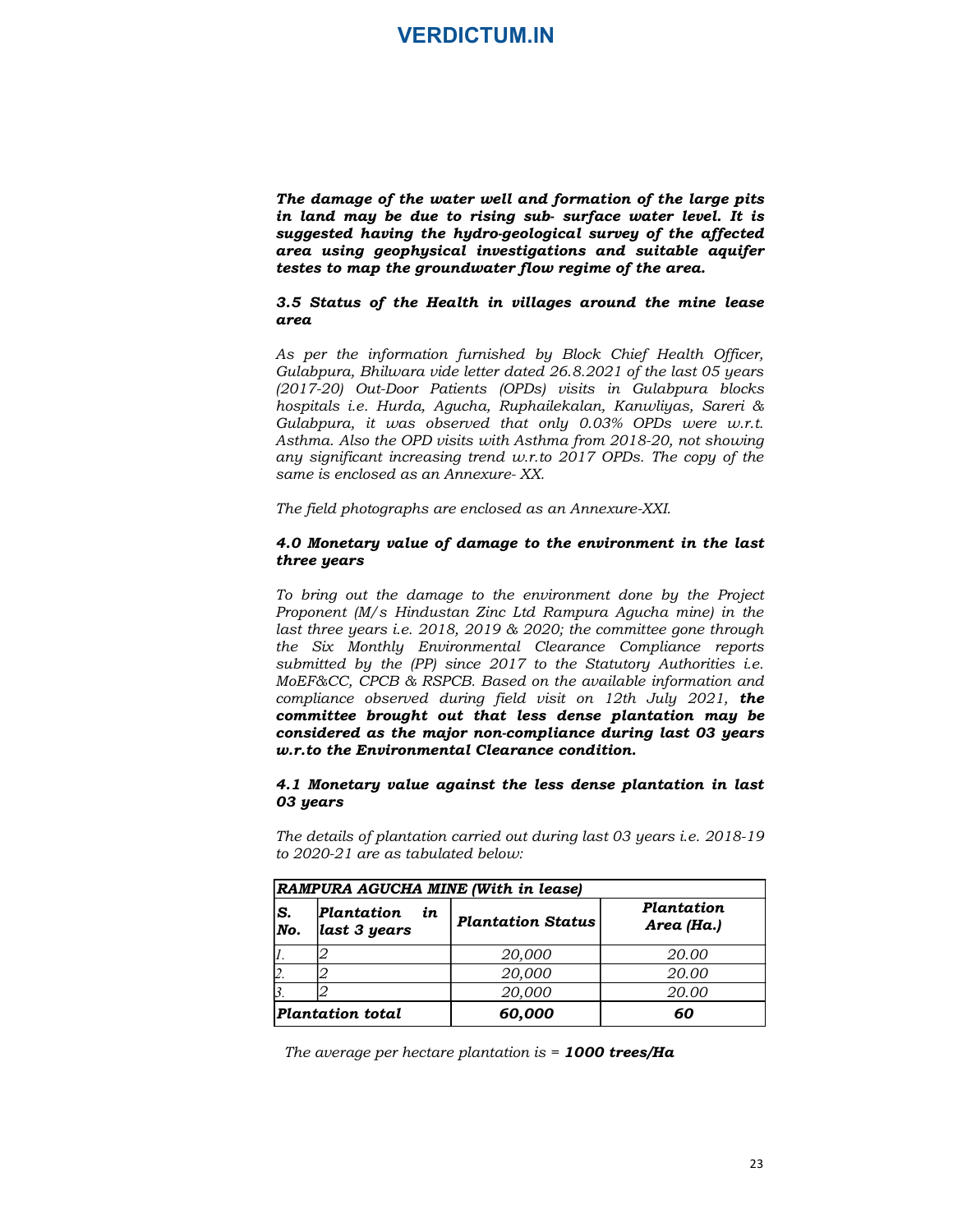The damage of the water well and formation of the large pits in land may be due to rising sub- surface water level. It is suggested having the hydro-geological survey of the affected area using geophysical investigations and suitable aquifer testes to map the groundwater flow regime of the area.

#### 3.5 Status of the Health in villages around the mine lease area

As per the information furnished by Block Chief Health Officer, Gulabpura, Bhilwara vide letter dated 26.8.2021 of the last 05 years (2017-20) Out-Door Patients (OPDs) visits in Gulabpura blocks hospitals i.e. Hurda, Agucha, Ruphailekalan, Kanwliyas, Sareri & Gulabpura, it was observed that only 0.03% OPDs were w.r.t. Asthma. Also the OPD visits with Asthma from 2018-20, not showing any significant increasing trend w.r.to 2017 OPDs. The copy of the same is enclosed as an Annexure- XX.

The field photographs are enclosed as an Annexure-XXI.

#### 4.0 Monetary value of damage to the environment in the last three years

To bring out the damage to the environment done by the Project Proponent (M/s Hindustan Zinc Ltd Rampura Agucha mine) in the last three years i.e. 2018, 2019 & 2020; the committee gone through the Six Monthly Environmental Clearance Compliance reports submitted by the (PP) since 2017 to the Statutory Authorities i.e. MoEF&CC, CPCB & RSPCB. Based on the available information and compliance observed during field visit on 12th July 2021, the committee brought out that less dense plantation may be considered as the major non-compliance during last 03 years w.r.to the Environmental Clearance condition. To bring out the damage to the environment done by the Project<br>
Proponent (M/s Hindustar Zinc Ltd Rampura Agucha mine) in the<br>
last three years i.e. 2018, 2019 & 2020; the committee gone through<br>
the Six Monthly Environme

#### 4.1 Monetary value against the less dense plantation in last 03 years

The details of plantation carried out during last 03 years i.e. 2018-19 to 2020-21 are as tabulated below:

|            | RAMPURA AGUCHA MINE (With in lease) |                          |                          |
|------------|-------------------------------------|--------------------------|--------------------------|
| S.<br>lNo. | Plantation<br>in<br>last 3 years    | <b>Plantation Status</b> | Plantation<br>Area (Ha.) |
|            |                                     | 20,000                   | 20.00                    |
|            |                                     | 20,000                   | 20.00                    |
|            |                                     | 20,000                   | 20.00                    |
|            | Plantation total                    | 60,000                   | 60                       |

The average per hectare plantation is  $= 1000$  trees/Ha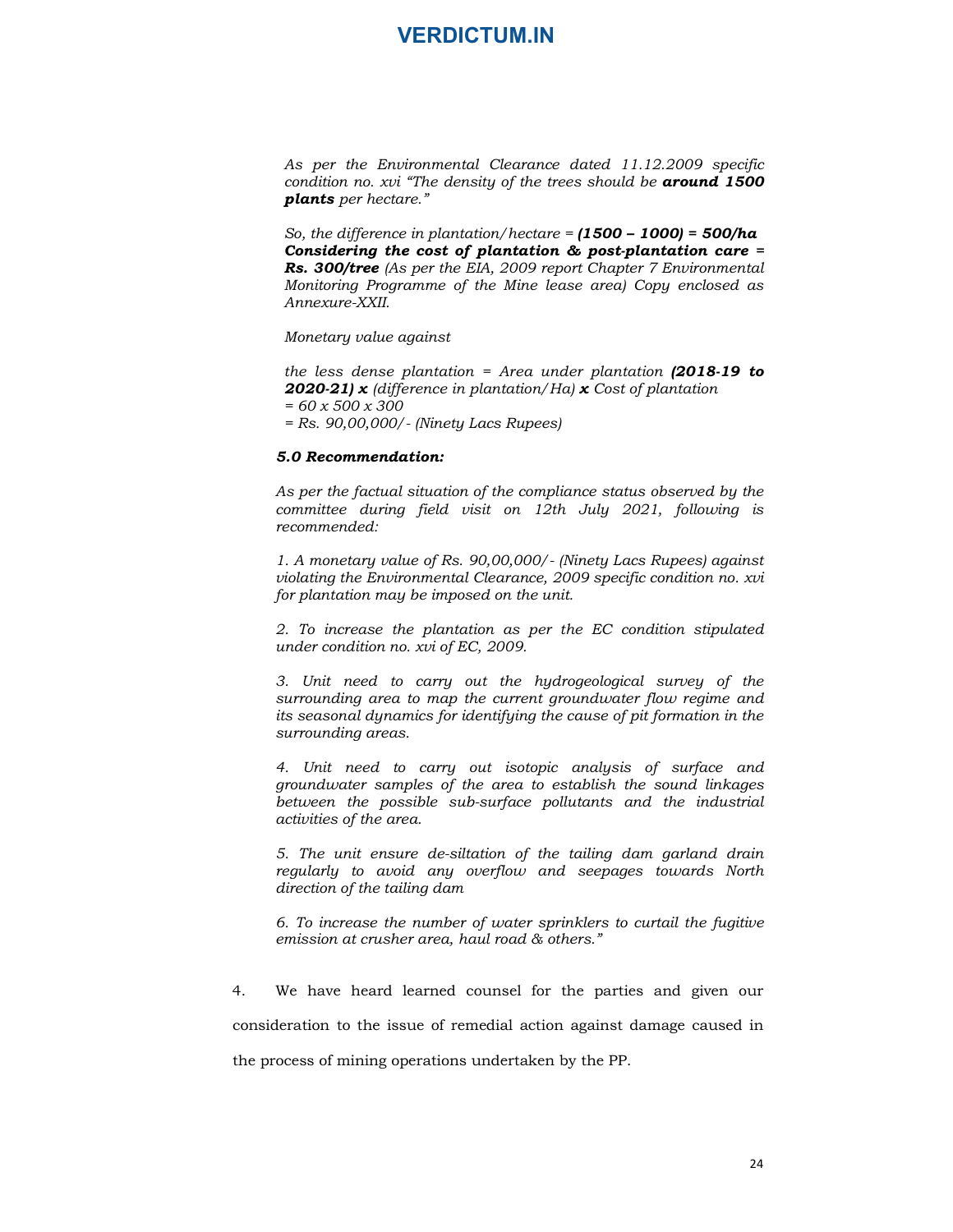As per the Environmental Clearance dated 11.12.2009 specific condition no. xvi "The density of the trees should be **around 1500** plants per hectare."

So, the difference in plantation/hectare =  $(1500 - 1000) = 500/ha$ Considering the cost of plantation & post-plantation care = Rs. 300/tree (As per the EIA, 2009 report Chapter 7 Environmental Monitoring Programme of the Mine lease area) Copy enclosed as Annexure-XXII.

Monetary value against

the less dense plantation = Area under plantation  $(2018-19)$  to **2020-21)** x (difference in plantation/Ha) x Cost of plantation  $= 60 \times 500 \times 300$ = Rs. 90,00,000/- (Ninety Lacs Rupees)

#### 5.0 Recommendation:

As per the factual situation of the compliance status observed by the committee during field visit on 12th July 2021, following is recommended:

1. A monetary value of Rs. 90,00,000/- (Ninety Lacs Rupees) against violating the Environmental Clearance, 2009 specific condition no. xvi for plantation may be imposed on the unit.

2. To increase the plantation as per the EC condition stipulated under condition no. xvi of EC, 2009.

3. Unit need to carry out the hydrogeological survey of the surrounding area to map the current groundwater flow regime and its seasonal dynamics for identifying the cause of pit formation in the surrounding areas.

4. Unit need to carry out isotopic analysis of surface and groundwater samples of the area to establish the sound linkages between the possible sub-surface pollutants and the industrial activities of the area.

5. The unit ensure de-siltation of the tailing dam garland drain regularly to avoid any overflow and seepages towards North direction of the tailing dam

6. To increase the number of water sprinklers to curtail the fugitive emission at crusher area, haul road & others."

for plantation may be imposed on the unit.<br>
2. To increase the plantation as per the EC condition stipulated<br>
under condition no. xiv of EC, 2009.<br>
3. Unit need to carry out the hydrogeological survey of the<br>
surrounding consideration to the issue of remedial action against damage caused in the process of mining operations undertaken by the PP.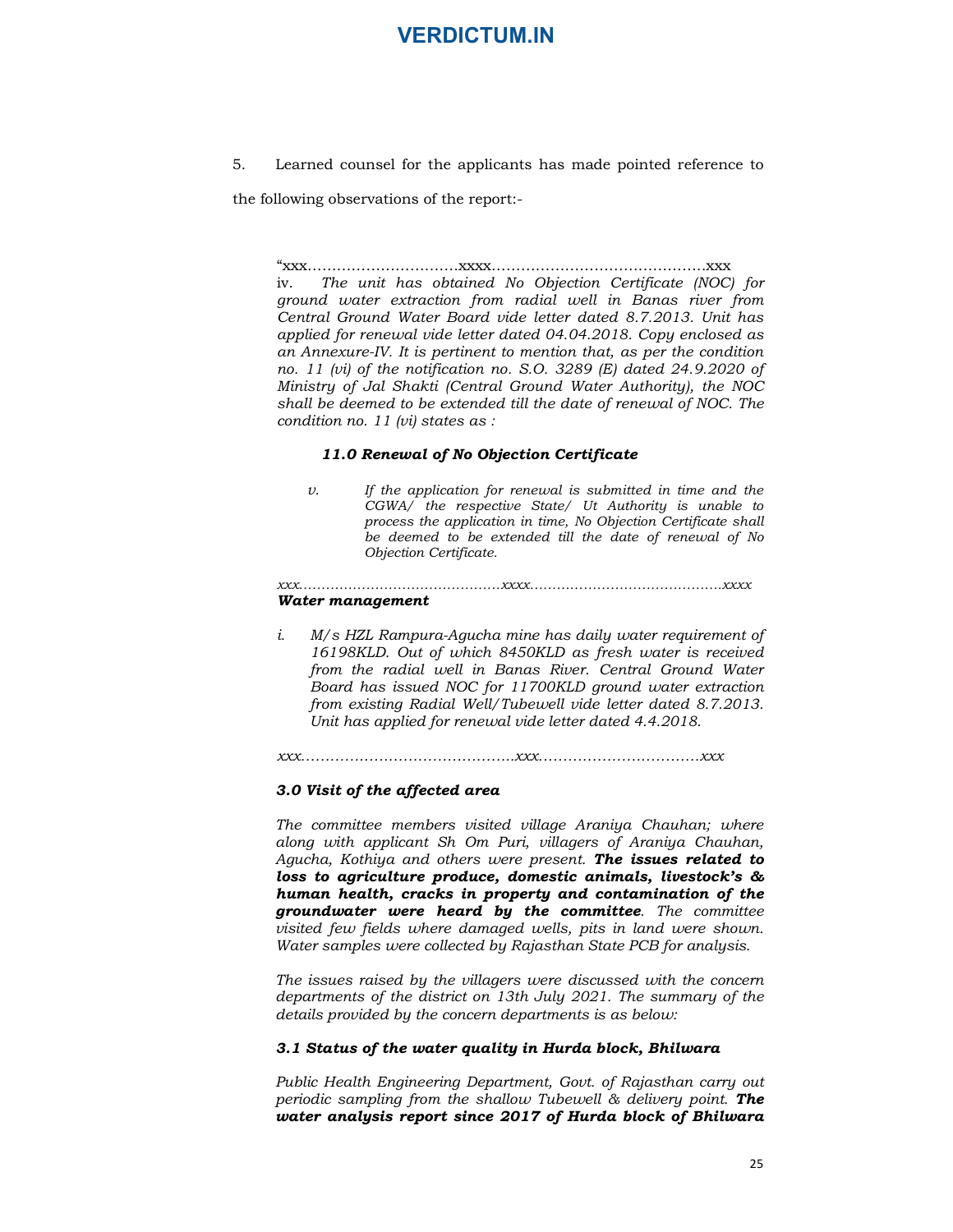5. Learned counsel for the applicants has made pointed reference to

the following observations of the report:-

"xxx………………………….xxxx……………………………………..xxx iv. The unit has obtained No Objection Certificate (NOC) for ground water extraction from radial well in Banas river from Central Ground Water Board vide letter dated 8.7.2013. Unit has applied for renewal vide letter dated 04.04.2018. Copy enclosed as an Annexure-IV. It is pertinent to mention that, as per the condition no. 11 (vi) of the notification no. S.O. 3289 (E) dated 24.9.2020 of Ministry of Jal Shakti (Central Ground Water Authority), the NOC shall be deemed to be extended till the date of renewal of NOC. The condition no. 11 (vi) states as :

#### 11.0 Renewal of No Objection Certificate

v. If the application for renewal is submitted in time and the CGWA/ the respective State/ Ut Authority is unable to process the application in time, No Objection Certificate shall be deemed to be extended till the date of renewal of No Objection Certificate. xxx………………………………………xxxx…………………………………….xxxx

#### Water management

i. M/s HZL Rampura-Agucha mine has daily water requirement of 16198KLD. Out of which 8450KLD as fresh water is received from the radial well in Banas River. Central Ground Water Board has issued NOC for 11700KLD ground water extraction from existing Radial Well/Tubewell vide letter dated 8.7.2013. Unit has applied for renewal vide letter dated 4.4.2018.

xxx……………………………………..xxx……………………………xxx

#### 3.0 Visit of the affected area

The committee members visited village Araniya Chauhan; where along with applicant Sh Om Puri, villagers of Araniya Chauhan, Agucha, Kothiya and others were present. The issues related to loss to agriculture produce, domestic animals, livestock's & human health, cracks in property and contamination of the groundwater were heard by the committee. The committee visited few fields where damaged wells, pits in land were shown. Water samples were collected by Rajasthan State PCB for analysis.

The issues raised by the villagers were discussed with the concern departments of the district on 13th July 2021. The summary of the details provided by the concern departments is as below:

#### 3.1 Status of the water quality in Hurda block, Bhilwara

Public Health Engineering Department, Govt. of Rajasthan carry out periodic sampling from the shallow Tubewell  $\&$  delivery point. **The** water analysis report since 2017 of Hurda block of Bhilwara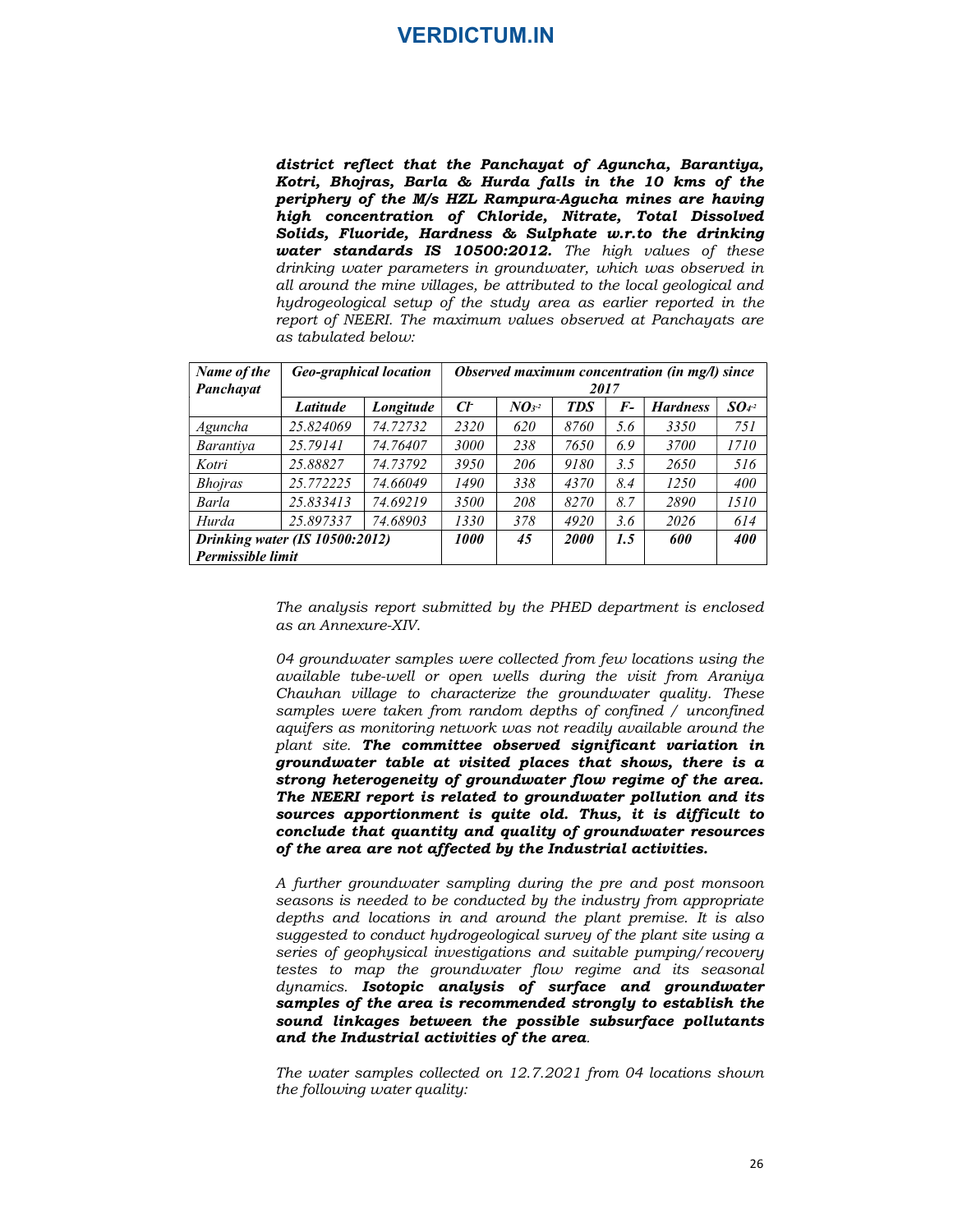district reflect that the Panchayat of Aguncha, Barantiya, Kotri, Bhojras, Barla & Hurda falls in the 10 kms of the periphery of the M/s HZL Rampura-Agucha mines are having high concentration of Chloride, Nitrate, Total Dissolved Solids, Fluoride, Hardness & Sulphate w.r.to the drinking water standards IS 10500:2012. The high values of these drinking water parameters in groundwater, which was observed in all around the mine villages, be attributed to the local geological and hydrogeological setup of the study area as earlier reported in the report of NEERI. The maximum values observed at Panchayats are as tabulated below: **SERDICTUM.IN**<br>
Strict reflect that the Panchayat of Aguncha, Barantiya,<br>
brir, Bhojras, Barla & Hurda falls in the 10 kms of the<br>
triphery of the M<sub>S</sub> HZL Rampura-Agucha mines are having<br>
gh concentration of Chloride, Ni **LATE AND SET AND SET AND SET AND SET AND SET AND SET AND SET AN SET AND SET AND SET AND A SET AND AND A SET AND A SET AND AND A SET AND AND A SET AND AND A set of the star of the star of the star of chicker, which are al** A signal of Aguncha, Barantiya,<br>
falls in the 10 kms of the<br>
tra-Agucha mines are having<br>
e, Nitrate, Total Dissolved<br>
e, Nitrate, Total Dissolved<br>
duphate w.r.to the drinking<br>
2. The high values of these<br>
buted to the lo

04 groundwater samples were collected from few locations using the available tube-well or open wells during the visit from Araniya Chauhan village to characterize the groundwater quality. These samples were taken from random depths of confined / unconfined aquifers as monitoring network was not readily available around the plant site. The committee observed significant variation in groundwater table at visited places that shows, there is a strong heterogeneity of groundwater flow regime of the area. The NEERI report is related to groundwater pollution and its sources apportionment is quite old. Thus, it is difficult to conclude that quantity and quality of groundwater resources of the area are not affected by the Industrial activities.

A further groundwater sampling during the pre and post monsoon seasons is needed to be conducted by the industry from appropriate depths and locations in and around the plant premise. It is also suggested to conduct hydrogeological survey of the plant site using a series of geophysical investigations and suitable pumping/recovery testes to map the groundwater flow regime and its seasonal dynamics. Isotopic analysis of surface and groundwater samples of the area is recommended strongly to establish the sound linkages between the possible subsurface pollutants and the Industrial activities of the area.<br>The water samples collected on 12.7.2021 from 04 locations shown

the following water quality: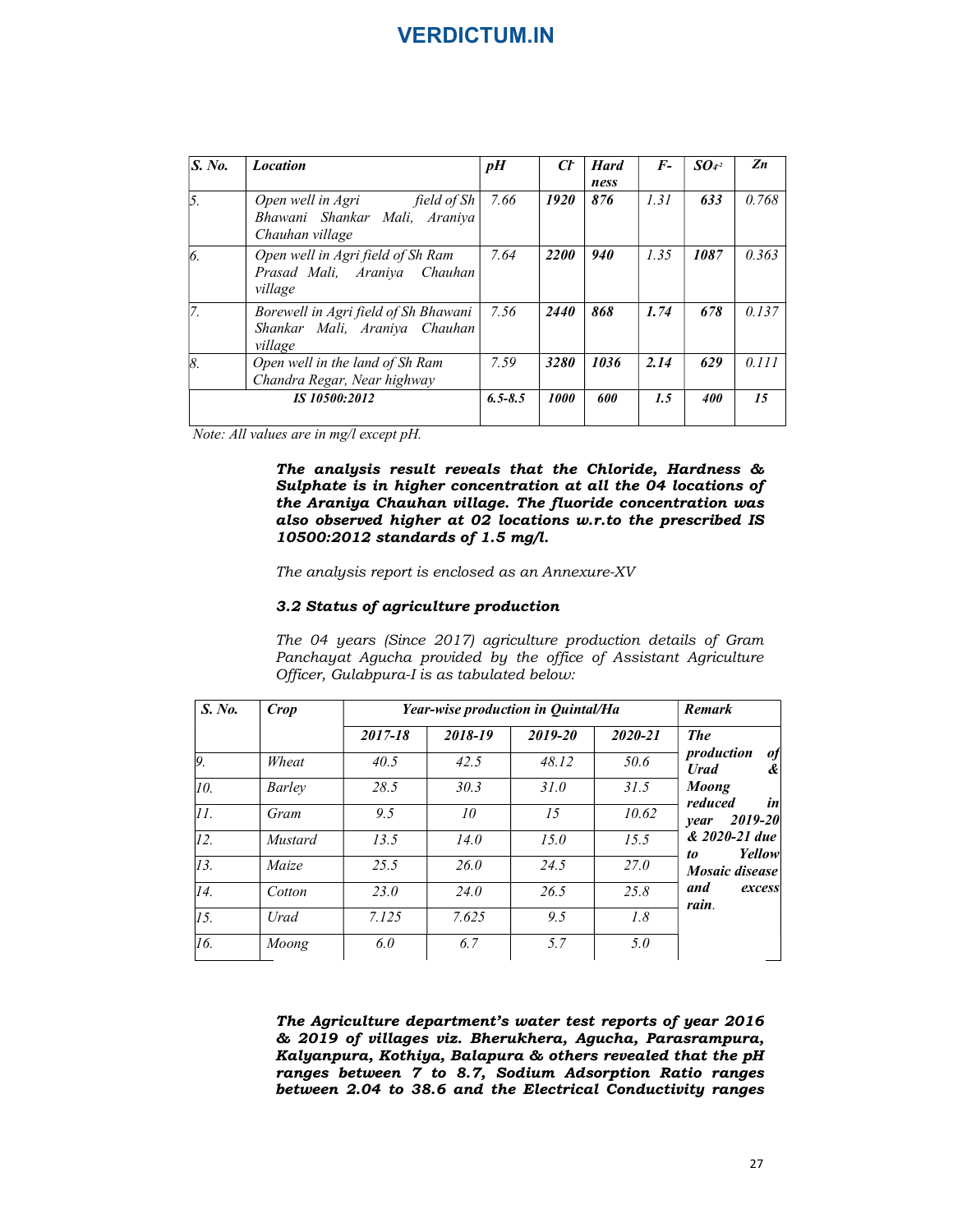|           |                                         |                                                                                                                                                                                                                                                                                                                               | <b>VERDICTUM.IN</b>                |             |                 |                     |             |                           |                          |
|-----------|-----------------------------------------|-------------------------------------------------------------------------------------------------------------------------------------------------------------------------------------------------------------------------------------------------------------------------------------------------------------------------------|------------------------------------|-------------|-----------------|---------------------|-------------|---------------------------|--------------------------|
|           |                                         |                                                                                                                                                                                                                                                                                                                               |                                    |             |                 |                     |             |                           |                          |
| S. No.    | <b>Location</b>                         |                                                                                                                                                                                                                                                                                                                               |                                    | pH          | $C\!F$          | <b>Hard</b><br>ness | $F-$        | SO <sub>4</sub> 2         | $\mathbf{Z}n$            |
| 5.        | Open well in Agri<br>Chauhan village    | Bhawani Shankar Mali, Araniya                                                                                                                                                                                                                                                                                                 | field of Sh                        | 7.66        | 1920            | 876                 | 1.31        | 633                       | 0.768                    |
| 6.        | village                                 | Open well in Agri field of Sh Ram<br>Prasad Mali, Araniya Chauhan                                                                                                                                                                                                                                                             |                                    | 7.64        | 2200            | 940                 | 1.35        | 1087                      | 0.363                    |
| 7.        | village                                 | Borewell in Agri field of Sh Bhawani<br>Shankar Mali, Araniya Chauhan                                                                                                                                                                                                                                                         |                                    | 7.56        | 2440            | 868                 | 1.74        | 678                       | 0.137                    |
| 8.        |                                         |                                                                                                                                                                                                                                                                                                                               |                                    | 7.59        | 3280            | 1036                | 2.14        | 629                       | 0.111                    |
|           |                                         | IS 10500:2012                                                                                                                                                                                                                                                                                                                 |                                    | $6.5 - 8.5$ | 1000            | 600                 | 1.5         | 400                       | 15                       |
|           | Note: All values are in mg/l except pH. | Open well in the land of Sh Ram<br>Chandra Regar, Near highway<br>The analysis result reveals that the Chloride, Hardness &<br>Sulphate is in higher concentration at all the 04 locations of<br>the Araniya Chauhan village. The fluoride concentration was<br>also observed higher at 02 locations w.r.to the prescribed IS |                                    |             |                 |                     |             |                           |                          |
|           |                                         | 10500:2012 standards of 1.5 mg/l.                                                                                                                                                                                                                                                                                             |                                    |             |                 |                     |             |                           |                          |
|           |                                         | The analysis report is enclosed as an Annexure-XV                                                                                                                                                                                                                                                                             |                                    |             |                 |                     |             |                           |                          |
|           |                                         | 3.2 Status of agriculture production<br>The 04 years (Since 2017) agriculture production details of Gram<br>Panchayat Agucha provided by the office of Assistant Agriculture<br>Officer, Gulabpura-I is as tabulated below:                                                                                                   |                                    |             |                 |                     |             |                           |                          |
| S. No.    | <b>Crop</b>                             |                                                                                                                                                                                                                                                                                                                               | Year-wise production in Quintal/Ha |             |                 |                     |             | Remark                    |                          |
|           |                                         | $2017 - 18$                                                                                                                                                                                                                                                                                                                   | 2018-19                            |             | 2019-20         |                     | $2020 - 21$ | <b>The</b>                |                          |
| 9.        | Wheat                                   | 40.5                                                                                                                                                                                                                                                                                                                          | 42.5                               |             | 48.12           |                     | 50.6        | production<br><b>Urad</b> | of<br>&                  |
|           | <b>Barley</b>                           | 28.5                                                                                                                                                                                                                                                                                                                          | 30.3                               |             | 31.0            |                     | 31.5        | <b>Moong</b><br>reduced   | $\left  \dot{n} \right $ |
| 10.<br>11 | C                                       | 0.5                                                                                                                                                                                                                                                                                                                           | $10^{-7}$                          |             | $\overline{15}$ |                     | 10.62       |                           |                          |

#### 3.2 Status of agriculture production

|                         | village                                 |                                                                                                                                                                                                                                                                                                                                                       |                                    |         |      |             |                             |                               |
|-------------------------|-----------------------------------------|-------------------------------------------------------------------------------------------------------------------------------------------------------------------------------------------------------------------------------------------------------------------------------------------------------------------------------------------------------|------------------------------------|---------|------|-------------|-----------------------------|-------------------------------|
| 8.                      |                                         | Open well in the land of Sh Ram<br>Chandra Regar, Near highway                                                                                                                                                                                                                                                                                        | 7.59                               | 3280    | 1036 | 2.14        | 629                         | 0.111                         |
|                         | IS 10500:2012                           |                                                                                                                                                                                                                                                                                                                                                       | $6.5 - 8.5$                        | 1000    | 600  | 1.5         | 400                         | 15                            |
|                         | Note: All values are in mg/l except pH. |                                                                                                                                                                                                                                                                                                                                                       |                                    |         |      |             |                             |                               |
|                         |                                         | The analysis result reveals that the Chloride, Hardness &<br>Sulphate is in higher concentration at all the 04 locations of<br>the Araniya Chauhan village. The fluoride concentration was<br>also observed higher at 02 locations w.r.to the prescribed IS<br>10500:2012 standards of 1.5 mg/l.<br>The analysis report is enclosed as an Annexure-XV |                                    |         |      |             |                             |                               |
|                         |                                         | 3.2 Status of agriculture production<br>The 04 years (Since 2017) agriculture production details of Gram<br>Panchayat Agucha provided by the office of Assistant Agriculture                                                                                                                                                                          |                                    |         |      |             |                             |                               |
| S. No.                  | <b>Crop</b>                             | Officer, Gulabpura-I is as tabulated below:                                                                                                                                                                                                                                                                                                           | Year-wise production in Quintal/Ha |         |      |             | Remark                      |                               |
|                         |                                         | $2017 - 18$                                                                                                                                                                                                                                                                                                                                           | 2018-19                            | 2019-20 |      | 2020-21     | <b>The</b>                  |                               |
|                         | Wheat                                   | 40.5                                                                                                                                                                                                                                                                                                                                                  | 42.5                               | 48.12   |      | 50.6        | production                  | of                            |
| $\overline{9}$ .<br>10. | <b>Barley</b>                           | 28.5                                                                                                                                                                                                                                                                                                                                                  | 30.3                               | 31.0    |      | 31.5        | <b>Urad</b><br><b>Moong</b> | $\mathbf{\mathcal{L}}$        |
| II.                     | Gram                                    | 9.5                                                                                                                                                                                                                                                                                                                                                   | 10                                 | 15      |      | 10.62       | reduced                     | in                            |
| $\overline{12}$ .       | <b>Mustard</b>                          | 13.5                                                                                                                                                                                                                                                                                                                                                  | 14.0                               | 15.0    |      | 15.5        |                             | year 2019-20<br>& 2020-21 due |
| $\overline{13}$ .       | Maize                                   | 25.5                                                                                                                                                                                                                                                                                                                                                  | 26.0                               | 24.5    |      | <i>27.0</i> | to                          | Yellow<br>Mosaic disease      |
| 14.                     | Cotton                                  | <i>23.0</i>                                                                                                                                                                                                                                                                                                                                           | 24.0                               | 26.5    |      | 25.8        | and                         | excess                        |
| $\overline{I5.}$        | Urad                                    | 7.125                                                                                                                                                                                                                                                                                                                                                 | 7.625                              | 9.5     |      | 1.8         | rain.                       |                               |

The Agriculture department's water test reports of year 2016 & 2019 of villages viz. Bherukhera, Agucha, Parasrampura, Kalyanpura, Kothiya, Balapura & others revealed that the pH ranges between 7 to 8.7, Sodium Adsorption Ratio ranges between 2.04 to 38.6 and the Electrical Conductivity ranges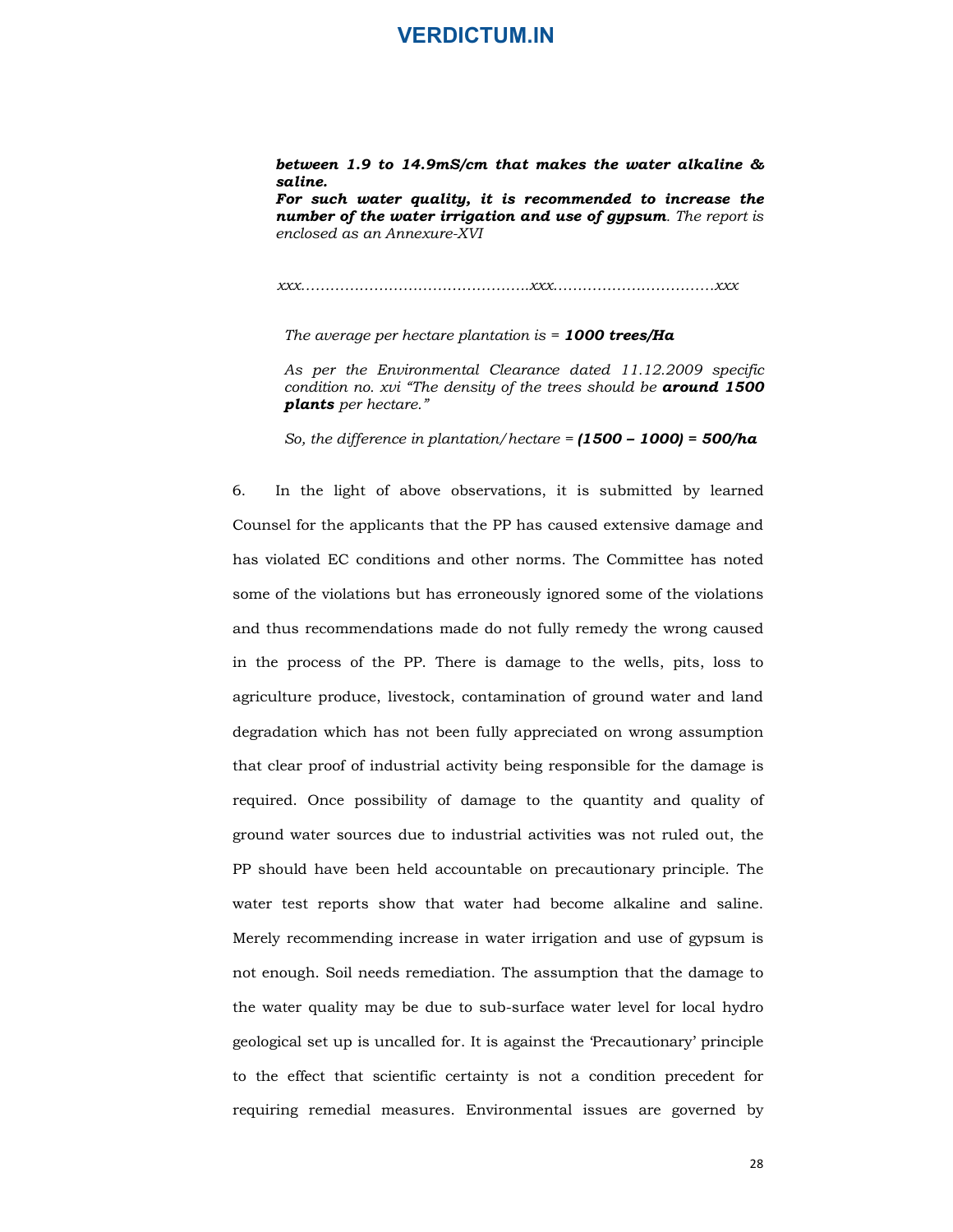#### between 1.9 to 14.9mS/cm that makes the water alkaline & saline.

For such water quality, it is recommended to increase the number of the water irrigation and use of gypsum. The report is enclosed as an Annexure-XVI

xxx………………………………………..xxx……………………………xxx

The average per hectare plantation is  $= 1000$  trees/Ha

As per the Environmental Clearance dated 11.12.2009 specific condition no. xvi "The density of the trees should be **around 1500** plants per hectare."

So, the difference in plantation/hectare =  $(1500 - 1000) = 500/ha$ 

**between 1.9 to 14.9mS/cm that makes the water alkaline &**<br>**saline.**<br>**For such water quality, it is recommended to increase the**<br>number of the water irrigation and use of gypsum. The report is<br>enclosed as an Amexare-XVI<br>Counsel for the applicants that the PP has caused extensive damage and has violated EC conditions and other norms. The Committee has noted some of the violations but has erroneously ignored some of the violations and thus recommendations made do not fully remedy the wrong caused in the process of the PP. There is damage to the wells, pits, loss to agriculture produce, livestock, contamination of ground water and land degradation which has not been fully appreciated on wrong assumption that clear proof of industrial activity being responsible for the damage is required. Once possibility of damage to the quantity and quality of ground water sources due to industrial activities was not ruled out, the PP should have been held accountable on precautionary principle. The water test reports show that water had become alkaline and saline. Merely recommending increase in water irrigation and use of gypsum is not enough. Soil needs remediation. The assumption that the damage to the water quality may be due to sub-surface water level for local hydro geological set up is uncalled for. It is against the 'Precautionary' principle to the effect that scientific certainty is not a condition precedent for requiring remedial measures. Environmental issues are governed by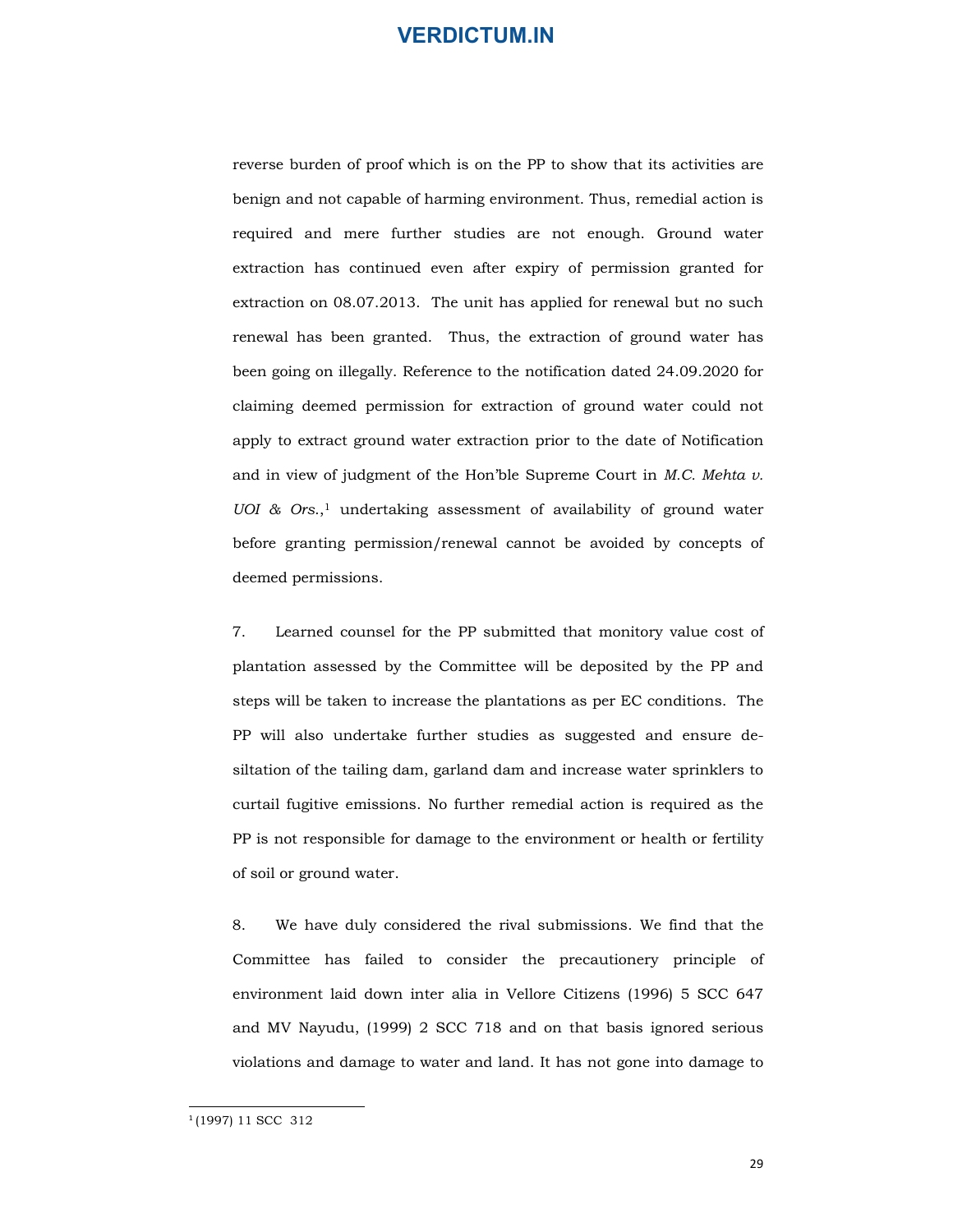reverse burden of proof which is on the PP to show that its activities are benign and not capable of harming environment. Thus, remedial action is required and mere further studies are not enough. Ground water extraction has continued even after expiry of permission granted for extraction on 08.07.2013. The unit has applied for renewal but no such renewal has been granted. Thus, the extraction of ground water has been going on illegally. Reference to the notification dated 24.09.2020 for claiming deemed permission for extraction of ground water could not apply to extract ground water extraction prior to the date of Notification and in view of judgment of the Hon'ble Supreme Court in M.C. Mehta v. UOI &  $Ors$ ,<sup>1</sup> undertaking assessment of availability of ground water before granting permission/renewal cannot be avoided by concepts of deemed permissions. required and mere turner studies are not enough. Ground water<br>extraction has continued even after expiry of permission granted for<br>extraction on 08.07.2013. The unit has applied for renewal but no such<br>renewal has been gra

plantation assessed by the Committee will be deposited by the PP and steps will be taken to increase the plantations as per EC conditions. The PP will also undertake further studies as suggested and ensure desiltation of the tailing dam, garland dam and increase water sprinklers to curtail fugitive emissions. No further remedial action is required as the PP is not responsible for damage to the environment or health or fertility of soil or ground water. before granting permission/renewal cannot be avoided by concepts of<br>deemed permissions.<br>7. Learned counsel for the PP submitted that monitory value cost of<br>plantation assessed by the Committee will be deposited by the PP a

Committee has failed to consider the precautionery principle of environment laid down inter alia in Vellore Citizens (1996) 5 SCC 647 and MV Nayudu, (1999) 2 SCC 718 and on that basis ignored serious violations and damage to water and land. It has not gone into damage to

29

<sup>1</sup> (1997) 11 SCC 312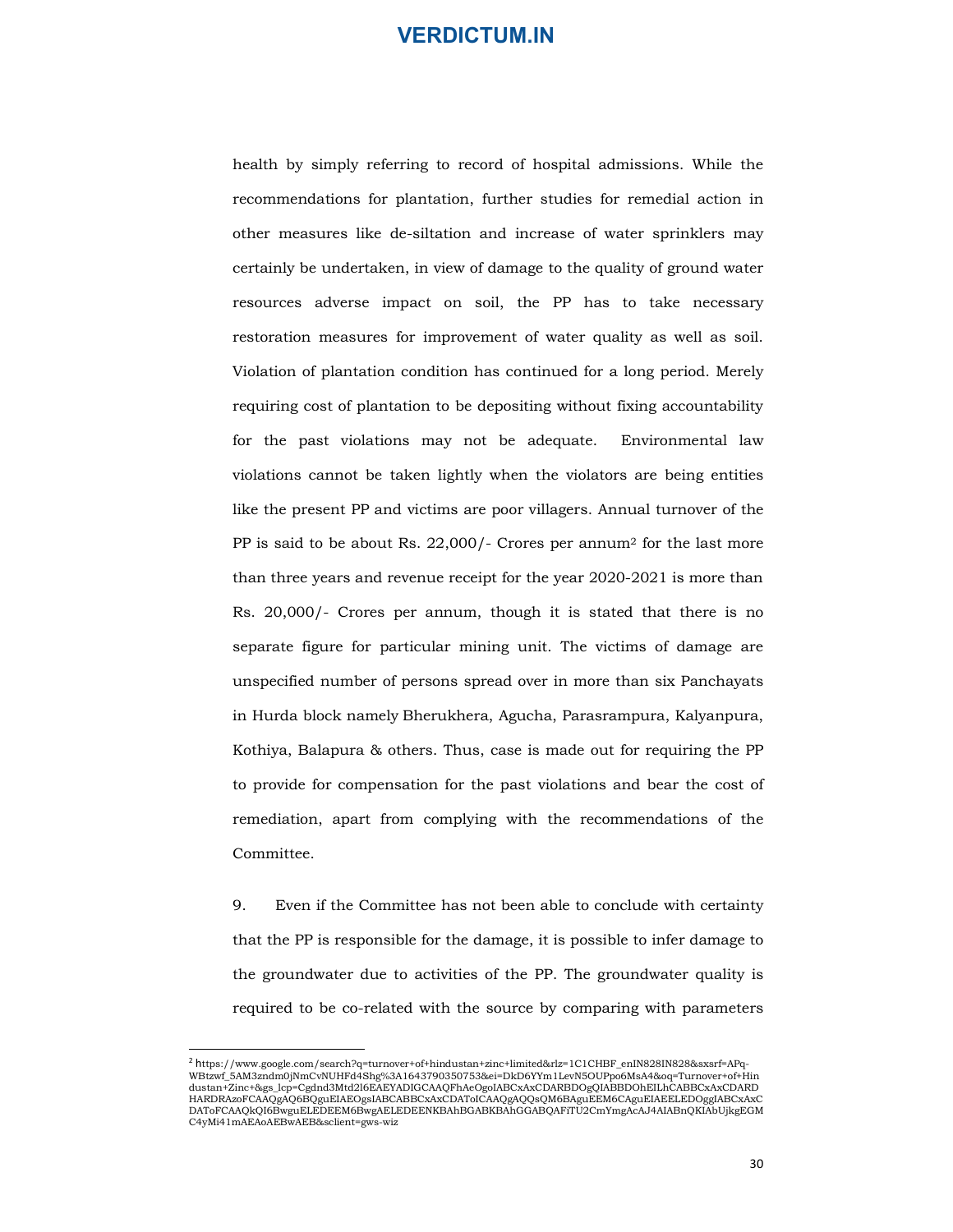health by simply referring to record of hospital admissions. While the recommendations for plantation, further studies for remedial action in other measures like de-siltation and increase of water sprinklers may certainly be undertaken, in view of damage to the quality of ground water resources adverse impact on soil, the PP has to take necessary restoration measures for improvement of water quality as well as soil. Violation of plantation condition has continued for a long period. Merely requiring cost of plantation to be depositing without fixing accountability for the past violations may not be adequate. Environmental law violations cannot be taken lightly when the violators are being entities like the present PP and victims are poor villagers. Annual turnover of the PP is said to be about Rs. 22,000/- Crores per annum2 for the last more than three years and revenue receipt for the year 2020-2021 is more than Rs. 20,000/- Crores per annum, though it is stated that there is no separate figure for particular mining unit. The victims of damage are unspecified number of persons spread over in more than six Panchayats restoration measures for improvement of water quality as well as soil.<br>Violation of plantation condition has continued for a long period. Merely<br>requiring cost of plantation to be depositing without fixing accountability<br>f Kothiya, Balapura & others. Thus, case is made out for requiring the PP to provide for compensation for the past violations and bear the cost of remediation, apart from complying with the recommendations of the Committee.

9. Even if the Committee has not been able to conclude with certainty that the PP is responsible for the damage, it is possible to infer damage to the groundwater due to activities of the PP. The groundwater quality is required to be co-related with the source by comparing with parameters

<sup>2</sup> https://www.google.com/search?q=turnover+of+hindustan+zinc+limited&rlz=1C1CHBF\_enIN828IN828&sxsrf=APq-WBtzwf\_5AM3zndm0jNmCvNUHFd4Shg%3A1643790350753&ei=DkD6YYm1LevN5OUPpo6MsA4&oq=Turnover+of+Hin dustan+Zinc+&gs\_lcp=Cgdnd3Mtd2l6EAEYADIGCAAQFhAeOgoIABCxAxCDARBDOgQIABBDOhEILhCABBCxAxCDARD<br>HARDRAzoFCAAQgAQ6BQguEIAEOgsIABCABBCxAxCDAToICAAQgAQQsQM6BAguEEM6CAguEIAEELEDOggIABCxAxC<br>DAToFCAAQkQI6BwguELEDEEM6BwgAELEDEENKBAhB C4yMi41mAEAoAEBwAEB&sclient=gws-wiz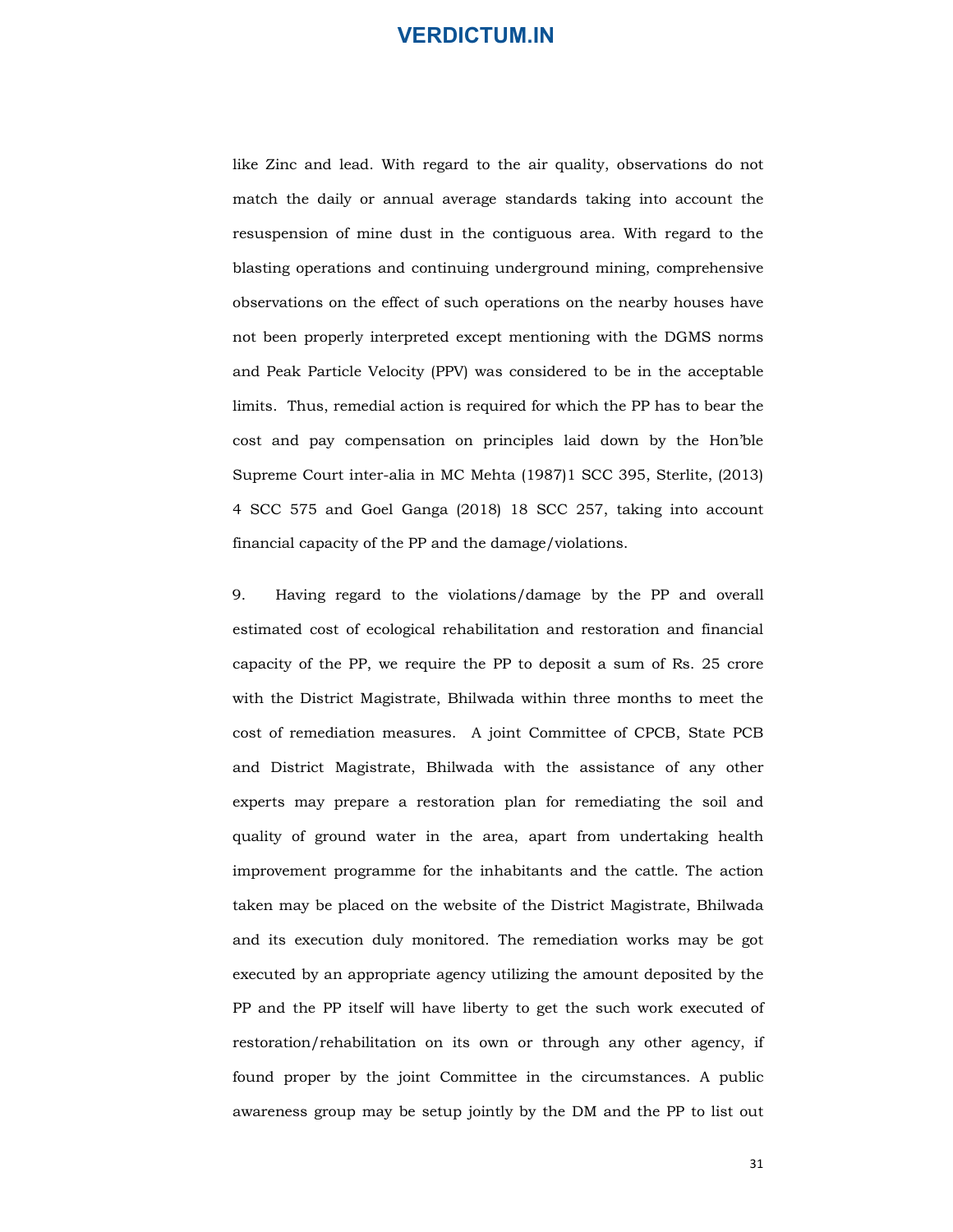like Zinc and lead. With regard to the air quality, observations do not match the daily or annual average standards taking into account the resuspension of mine dust in the contiguous area. With regard to the blasting operations and continuing underground mining, comprehensive observations on the effect of such operations on the nearby houses have not been properly interpreted except mentioning with the DGMS norms and Peak Particle Velocity (PPV) was considered to be in the acceptable limits. Thus, remedial action is required for which the PP has to bear the cost and pay compensation on principles laid down by the Hon'ble Supreme Court inter-alia in MC Mehta (1987)1 SCC 395, Sterlite, (2013) 4 SCC 575 and Goel Ganga (2018) 18 SCC 257, taking into account financial capacity of the PP and the damage/violations. match the daily or annual average standards taking into account the<br>resuspension of mine dust in the contiguous area. With regard to the<br>blasting operations and continuing underground mining, comprehensive<br>observations on

estimated cost of ecological rehabilitation and restoration and financial capacity of the PP, we require the PP to deposit a sum of Rs. 25 crore with the District Magistrate, Bhilwada within three months to meet the cost of remediation measures. A joint Committee of CPCB, State PCB and District Magistrate, Bhilwada with the assistance of any other experts may prepare a restoration plan for remediating the soil and quality of ground water in the area, apart from undertaking health improvement programme for the inhabitants and the cattle. The action taken may be placed on the website of the District Magistrate, Bhilwada and its execution duly monitored. The remediation works may be got executed by an appropriate agency utilizing the amount deposited by the PP and the PP itself will have liberty to get the such work executed of restoration/rehabilitation on its own or through any other agency, if found proper by the joint Committee in the circumstances. A public awareness group may be setup jointly by the DM and the PP to list out